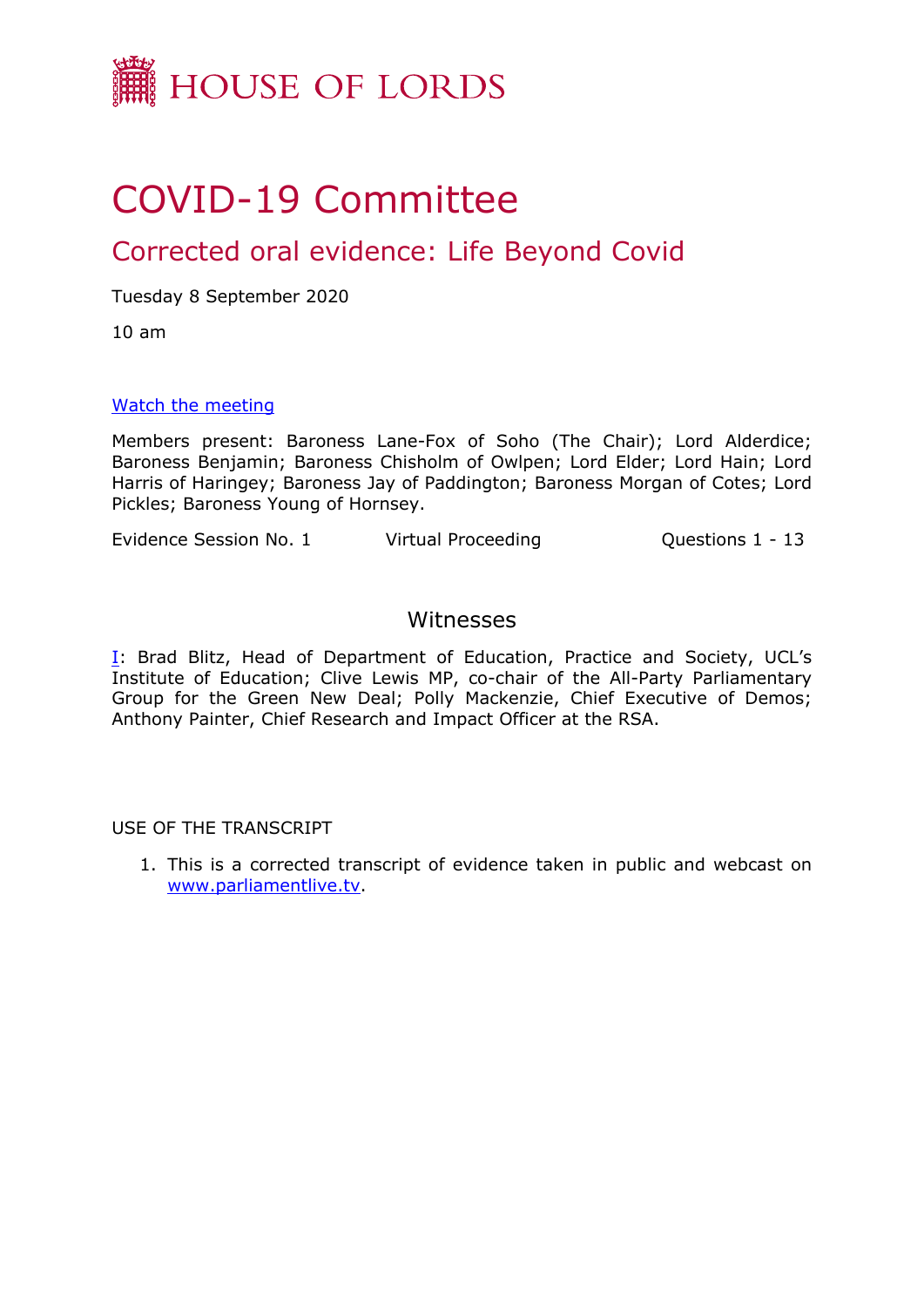

# COVID-19 Committee

# Corrected oral evidence: Life Beyond Covid

Tuesday 8 September 2020

10 am

#### [Watch](https://parliamentlive.tv/event/index/a7b177db-eb33-4e7c-a05a-4a7ea6bd314a) [the](https://parliamentlive.tv/event/index/a7b177db-eb33-4e7c-a05a-4a7ea6bd314a) [meeting](https://parliamentlive.tv/event/index/a7b177db-eb33-4e7c-a05a-4a7ea6bd314a)

Members present: Baroness Lane-Fox of Soho (The Chair); Lord Alderdice; Baroness Benjamin; Baroness Chisholm of Owlpen; Lord Elder; Lord Hain; Lord Harris of Haringey; Baroness Jay of Paddington; Baroness Morgan of Cotes; Lord Pickles; Baroness Young of Hornsey.

Evidence Session No. 1 Virtual Proceeding Cuestions 1 - 13

### Witnesses

[I:](#page-1-0) Brad Blitz, Head of Department of Education, Practice and Society, UCL's Institute of Education; Clive Lewis MP, co-chair of the All-Party Parliamentary Group for the Green New Deal; Polly Mackenzie, Chief Executive of Demos; Anthony Painter, Chief Research and Impact Officer at the RSA.

USE OF THE TRANSCRIPT

1. This is a corrected transcript of evidence taken in public and webcast on [www.parliamentlive.tv](http://www.parliamentlive.tv/).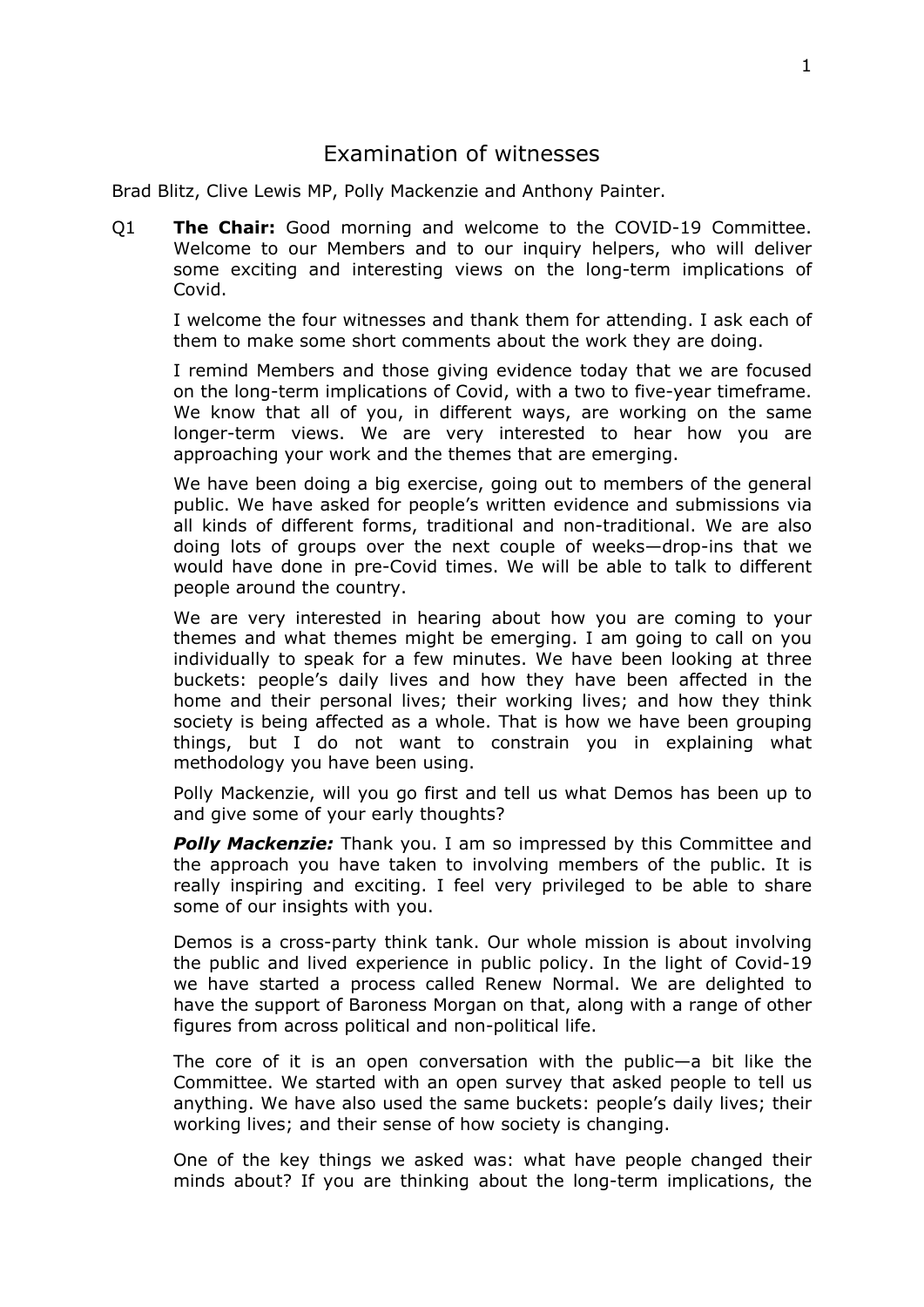## <span id="page-1-0"></span>Examination of witnesses

Brad Blitz, Clive Lewis MP, Polly Mackenzie and Anthony Painter.

Q1 **The Chair:** Good morning and welcome to the COVID-19 Committee. Welcome to our Members and to our inquiry helpers, who will deliver some exciting and interesting views on the long-term implications of Covid.

I welcome the four witnesses and thank them for attending. I ask each of them to make some short comments about the work they are doing.

I remind Members and those giving evidence today that we are focused on the long-term implications of Covid, with a two to five-year timeframe. We know that all of you, in different ways, are working on the same longer-term views. We are very interested to hear how you are approaching your work and the themes that are emerging.

We have been doing a big exercise, going out to members of the general public. We have asked for people's written evidence and submissions via all kinds of different forms, traditional and non-traditional. We are also doing lots of groups over the next couple of weeks—drop-ins that we would have done in pre-Covid times. We will be able to talk to different people around the country.

We are very interested in hearing about how you are coming to your themes and what themes might be emerging. I am going to call on you individually to speak for a few minutes. We have been looking at three buckets: people's daily lives and how they have been affected in the home and their personal lives; their working lives; and how they think society is being affected as a whole. That is how we have been grouping things, but I do not want to constrain you in explaining what methodology you have been using.

Polly Mackenzie, will you go first and tell us what Demos has been up to and give some of your early thoughts?

*Polly Mackenzie:* Thank you. I am so impressed by this Committee and the approach you have taken to involving members of the public. It is really inspiring and exciting. I feel very privileged to be able to share some of our insights with you.

Demos is a cross-party think tank. Our whole mission is about involving the public and lived experience in public policy. In the light of Covid-19 we have started a process called Renew Normal. We are delighted to have the support of Baroness Morgan on that, along with a range of other figures from across political and non-political life.

The core of it is an open conversation with the public—a bit like the Committee. We started with an open survey that asked people to tell us anything. We have also used the same buckets: people's daily lives; their working lives; and their sense of how society is changing.

One of the key things we asked was: what have people changed their minds about? If you are thinking about the long-term implications, the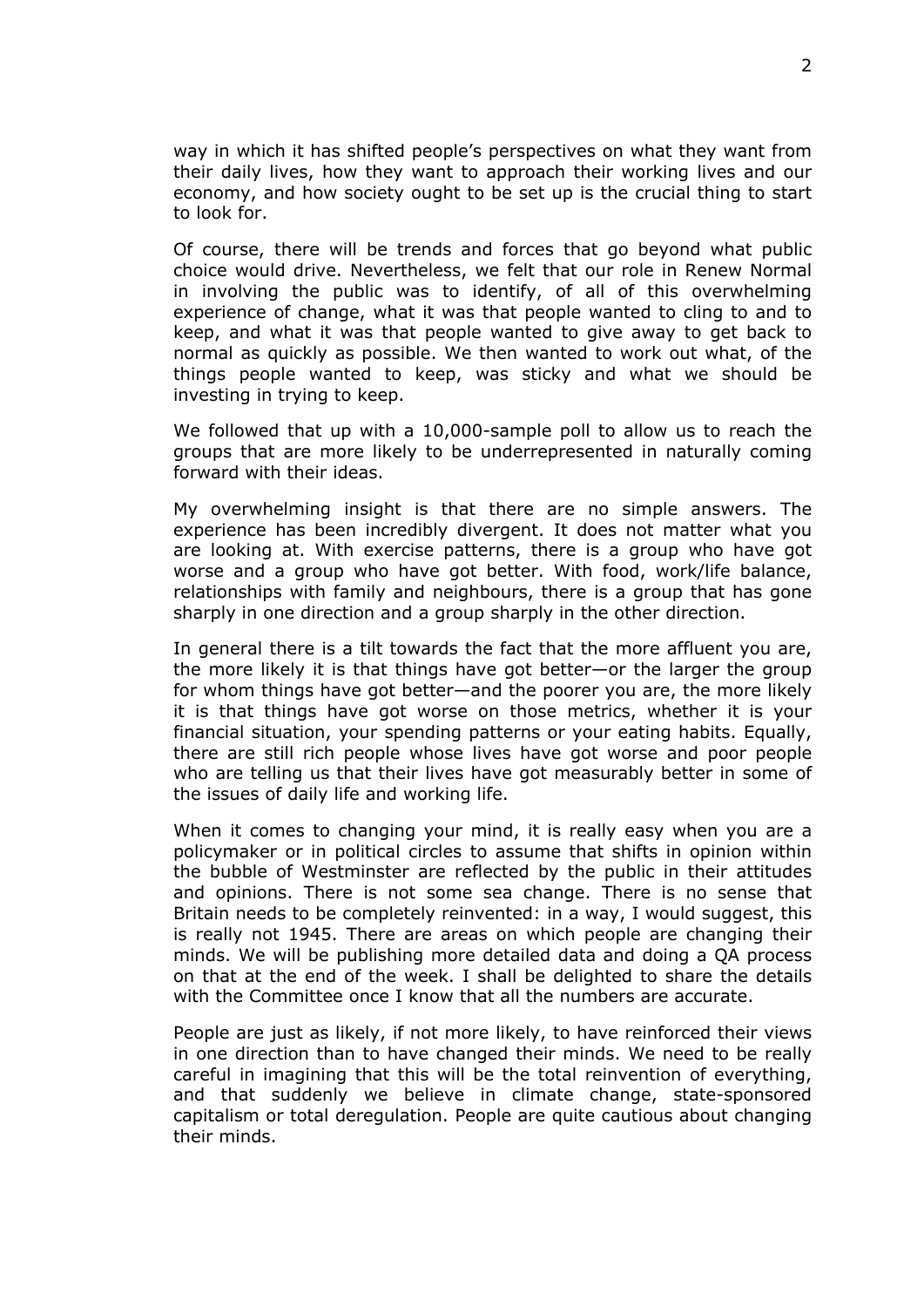way in which it has shifted people's perspectives on what they want from their daily lives, how they want to approach their working lives and our economy, and how society ought to be set up is the crucial thing to start to look for.

Of course, there will be trends and forces that go beyond what public choice would drive. Nevertheless, we felt that our role in Renew Normal in involving the public was to identify, of all of this overwhelming experience of change, what it was that people wanted to cling to and to keep, and what it was that people wanted to give away to get back to normal as quickly as possible. We then wanted to work out what, of the things people wanted to keep, was sticky and what we should be investing in trying to keep.

We followed that up with a 10,000-sample poll to allow us to reach the groups that are more likely to be underrepresented in naturally coming forward with their ideas.

My overwhelming insight is that there are no simple answers. The experience has been incredibly divergent. It does not matter what you are looking at. With exercise patterns, there is a group who have got worse and a group who have got better. With food, work/life balance, relationships with family and neighbours, there is a group that has gone sharply in one direction and a group sharply in the other direction.

In general there is a tilt towards the fact that the more affluent you are, the more likely it is that things have got better—or the larger the group for whom things have got better—and the poorer you are, the more likely it is that things have got worse on those metrics, whether it is your financial situation, your spending patterns or your eating habits. Equally, there are still rich people whose lives have got worse and poor people who are telling us that their lives have got measurably better in some of the issues of daily life and working life.

When it comes to changing your mind, it is really easy when you are a policymaker or in political circles to assume that shifts in opinion within the bubble of Westminster are reflected by the public in their attitudes and opinions. There is not some sea change. There is no sense that Britain needs to be completely reinvented: in a way, I would suggest, this is really not 1945. There are areas on which people are changing their minds. We will be publishing more detailed data and doing a QA process on that at the end of the week. I shall be delighted to share the details with the Committee once I know that all the numbers are accurate.

People are just as likely, if not more likely, to have reinforced their views in one direction than to have changed their minds. We need to be really careful in imagining that this will be the total reinvention of everything, and that suddenly we believe in climate change, state-sponsored capitalism or total deregulation. People are quite cautious about changing their minds.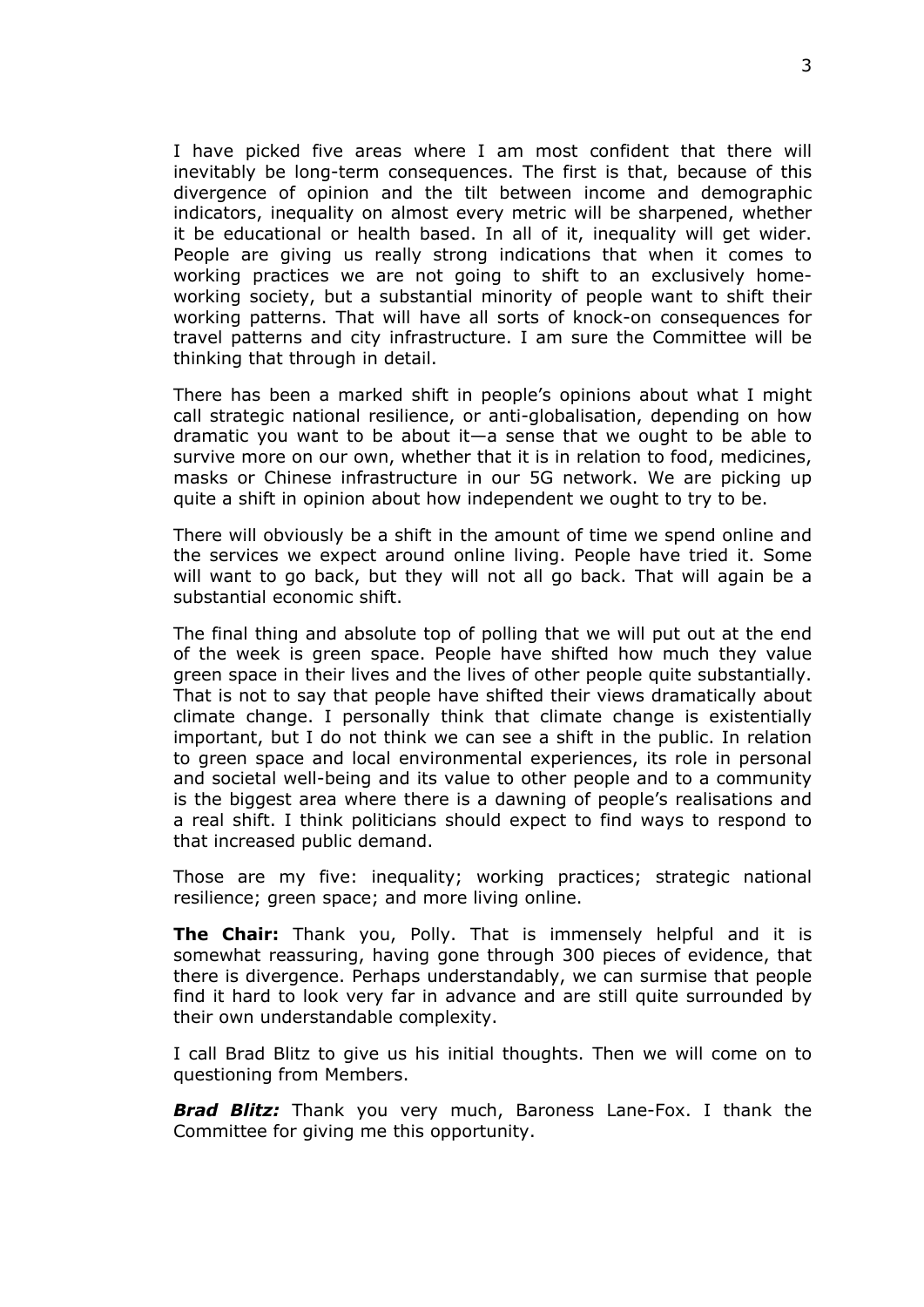I have picked five areas where I am most confident that there will inevitably be long-term consequences. The first is that, because of this divergence of opinion and the tilt between income and demographic indicators, inequality on almost every metric will be sharpened, whether it be educational or health based. In all of it, inequality will get wider. People are giving us really strong indications that when it comes to working practices we are not going to shift to an exclusively homeworking society, but a substantial minority of people want to shift their working patterns. That will have all sorts of knock-on consequences for travel patterns and city infrastructure. I am sure the Committee will be thinking that through in detail.

There has been a marked shift in people's opinions about what I might call strategic national resilience, or anti-globalisation, depending on how dramatic you want to be about it—a sense that we ought to be able to survive more on our own, whether that it is in relation to food, medicines, masks or Chinese infrastructure in our 5G network. We are picking up quite a shift in opinion about how independent we ought to try to be.

There will obviously be a shift in the amount of time we spend online and the services we expect around online living. People have tried it. Some will want to go back, but they will not all go back. That will again be a substantial economic shift.

The final thing and absolute top of polling that we will put out at the end of the week is green space. People have shifted how much they value green space in their lives and the lives of other people quite substantially. That is not to say that people have shifted their views dramatically about climate change. I personally think that climate change is existentially important, but I do not think we can see a shift in the public. In relation to green space and local environmental experiences, its role in personal and societal well-being and its value to other people and to a community is the biggest area where there is a dawning of people's realisations and a real shift. I think politicians should expect to find ways to respond to that increased public demand.

Those are my five: inequality; working practices; strategic national resilience; green space; and more living online.

**The Chair:** Thank you, Polly. That is immensely helpful and it is somewhat reassuring, having gone through 300 pieces of evidence, that there is divergence. Perhaps understandably, we can surmise that people find it hard to look very far in advance and are still quite surrounded by their own understandable complexity.

I call Brad Blitz to give us his initial thoughts. Then we will come on to questioning from Members.

*Brad Blitz:* Thank you very much, Baroness Lane-Fox. I thank the Committee for giving me this opportunity.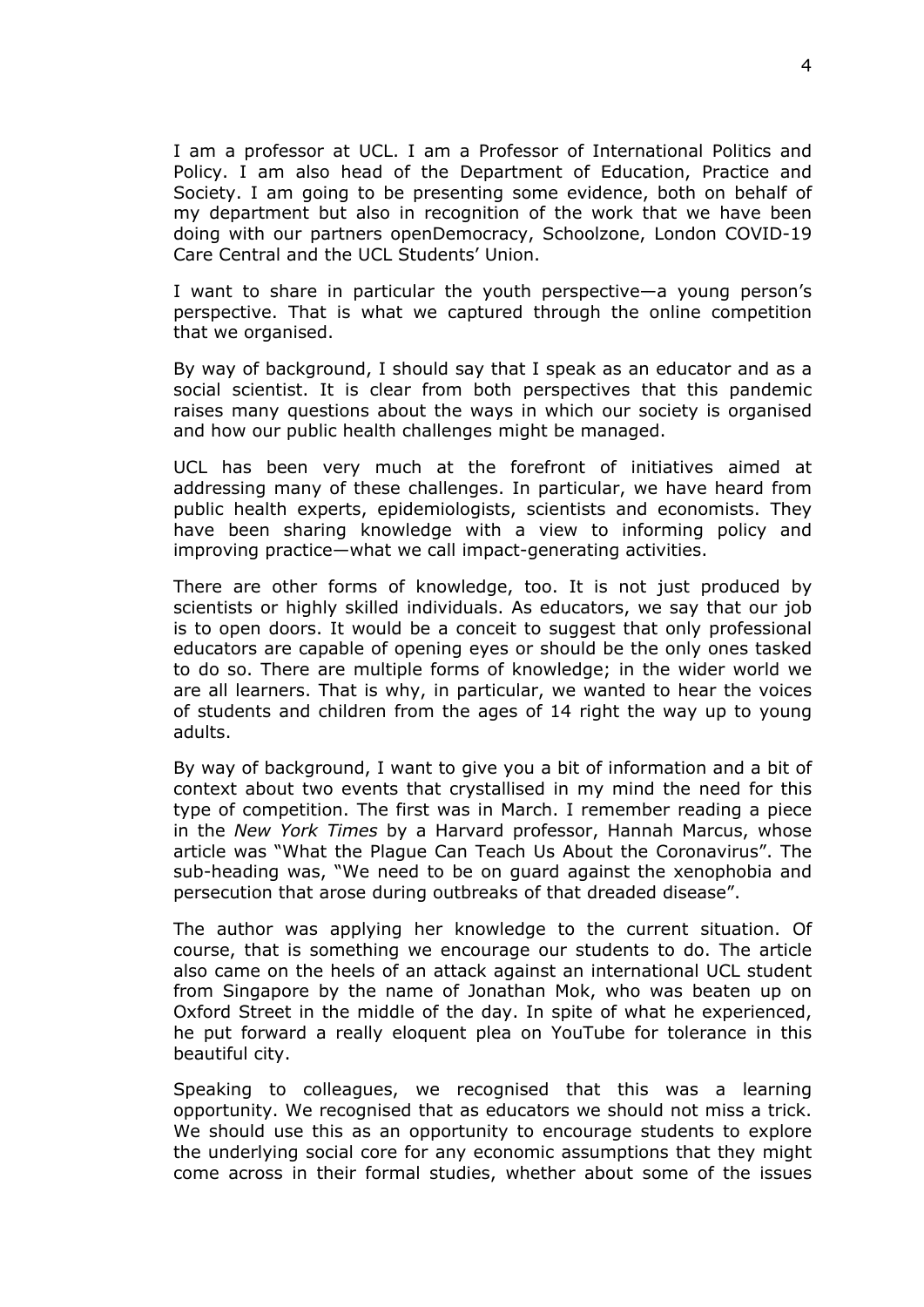I am a professor at UCL. I am a Professor of International Politics and Policy. I am also head of the Department of Education, Practice and Society. I am going to be presenting some evidence, both on behalf of my department but also in recognition of the work that we have been doing with our partners openDemocracy, Schoolzone, London COVID-19 Care Central and the UCL Students' Union.

I want to share in particular the youth perspective—a young person's perspective. That is what we captured through the online competition that we organised.

By way of background, I should say that I speak as an educator and as a social scientist. It is clear from both perspectives that this pandemic raises many questions about the ways in which our society is organised and how our public health challenges might be managed.

UCL has been very much at the forefront of initiatives aimed at addressing many of these challenges. In particular, we have heard from public health experts, epidemiologists, scientists and economists. They have been sharing knowledge with a view to informing policy and improving practice—what we call impact-generating activities.

There are other forms of knowledge, too. It is not just produced by scientists or highly skilled individuals. As educators, we say that our job is to open doors. It would be a conceit to suggest that only professional educators are capable of opening eyes or should be the only ones tasked to do so. There are multiple forms of knowledge; in the wider world we are all learners. That is why, in particular, we wanted to hear the voices of students and children from the ages of 14 right the way up to young adults.

By way of background, I want to give you a bit of information and a bit of context about two events that crystallised in my mind the need for this type of competition. The first was in March. I remember reading a piece in the *New York Times* by a Harvard professor, Hannah Marcus, whose article was "What the Plague Can Teach Us About the Coronavirus". The sub-heading was, "We need to be on guard against the xenophobia and persecution that arose during outbreaks of that dreaded disease".

The author was applying her knowledge to the current situation. Of course, that is something we encourage our students to do. The article also came on the heels of an attack against an international UCL student from Singapore by the name of Jonathan Mok, who was beaten up on Oxford Street in the middle of the day. In spite of what he experienced, he put forward a really eloquent plea on YouTube for tolerance in this beautiful city.

Speaking to colleagues, we recognised that this was a learning opportunity. We recognised that as educators we should not miss a trick. We should use this as an opportunity to encourage students to explore the underlying social core for any economic assumptions that they might come across in their formal studies, whether about some of the issues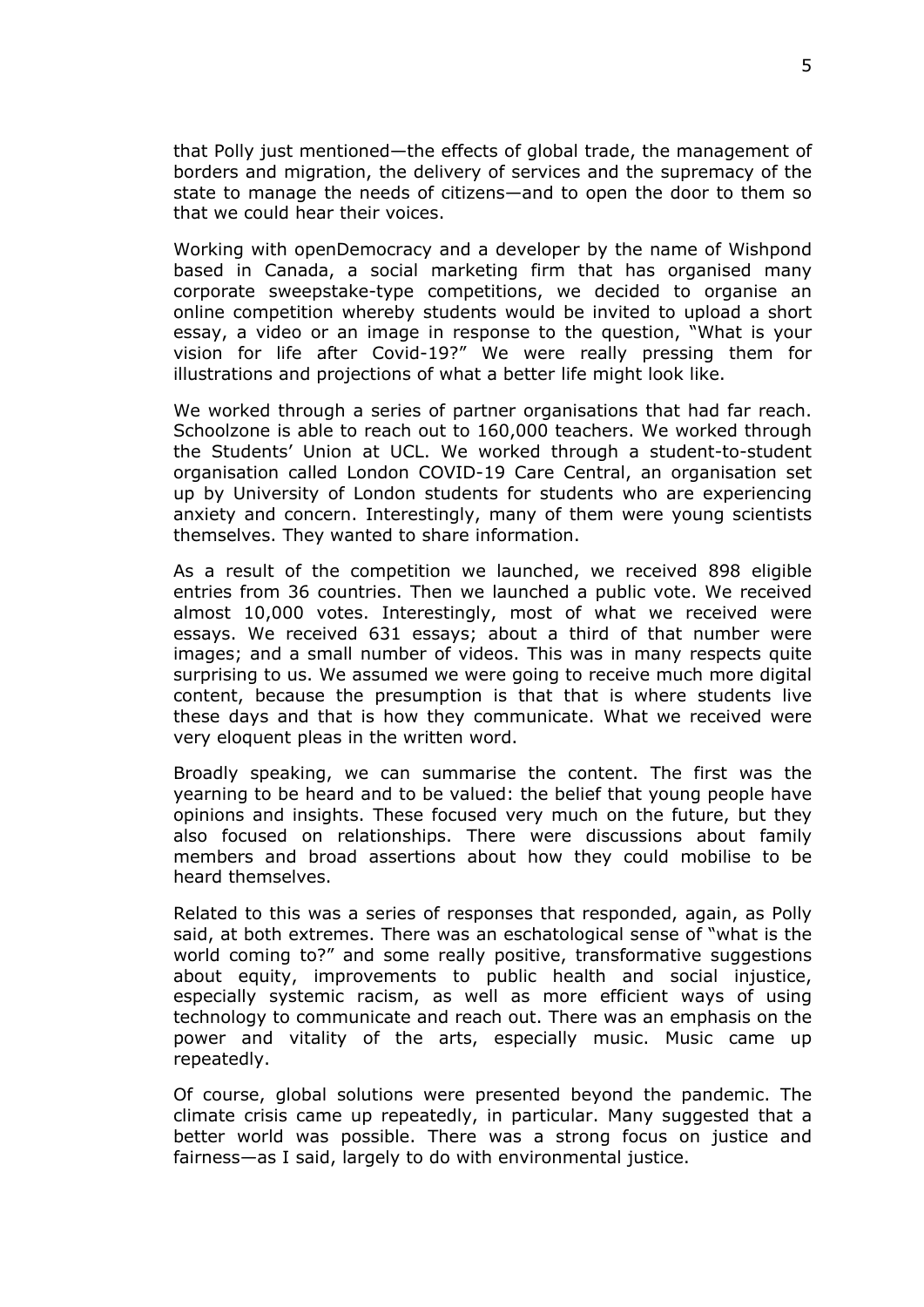that Polly just mentioned—the effects of global trade, the management of borders and migration, the delivery of services and the supremacy of the state to manage the needs of citizens—and to open the door to them so that we could hear their voices.

Working with openDemocracy and a developer by the name of Wishpond based in Canada, a social marketing firm that has organised many corporate sweepstake-type competitions, we decided to organise an online competition whereby students would be invited to upload a short essay, a video or an image in response to the question, "What is your vision for life after Covid-19?" We were really pressing them for illustrations and projections of what a better life might look like.

We worked through a series of partner organisations that had far reach. Schoolzone is able to reach out to 160,000 teachers. We worked through the Students' Union at UCL. We worked through a student-to-student organisation called London COVID-19 Care Central, an organisation set up by University of London students for students who are experiencing anxiety and concern. Interestingly, many of them were young scientists themselves. They wanted to share information.

As a result of the competition we launched, we received 898 eligible entries from 36 countries. Then we launched a public vote. We received almost 10,000 votes. Interestingly, most of what we received were essays. We received 631 essays; about a third of that number were images; and a small number of videos. This was in many respects quite surprising to us. We assumed we were going to receive much more digital content, because the presumption is that that is where students live these days and that is how they communicate. What we received were very eloquent pleas in the written word.

Broadly speaking, we can summarise the content. The first was the yearning to be heard and to be valued: the belief that young people have opinions and insights. These focused very much on the future, but they also focused on relationships. There were discussions about family members and broad assertions about how they could mobilise to be heard themselves.

Related to this was a series of responses that responded, again, as Polly said, at both extremes. There was an eschatological sense of "what is the world coming to?" and some really positive, transformative suggestions about equity, improvements to public health and social injustice, especially systemic racism, as well as more efficient ways of using technology to communicate and reach out. There was an emphasis on the power and vitality of the arts, especially music. Music came up repeatedly.

Of course, global solutions were presented beyond the pandemic. The climate crisis came up repeatedly, in particular. Many suggested that a better world was possible. There was a strong focus on justice and fairness—as I said, largely to do with environmental justice.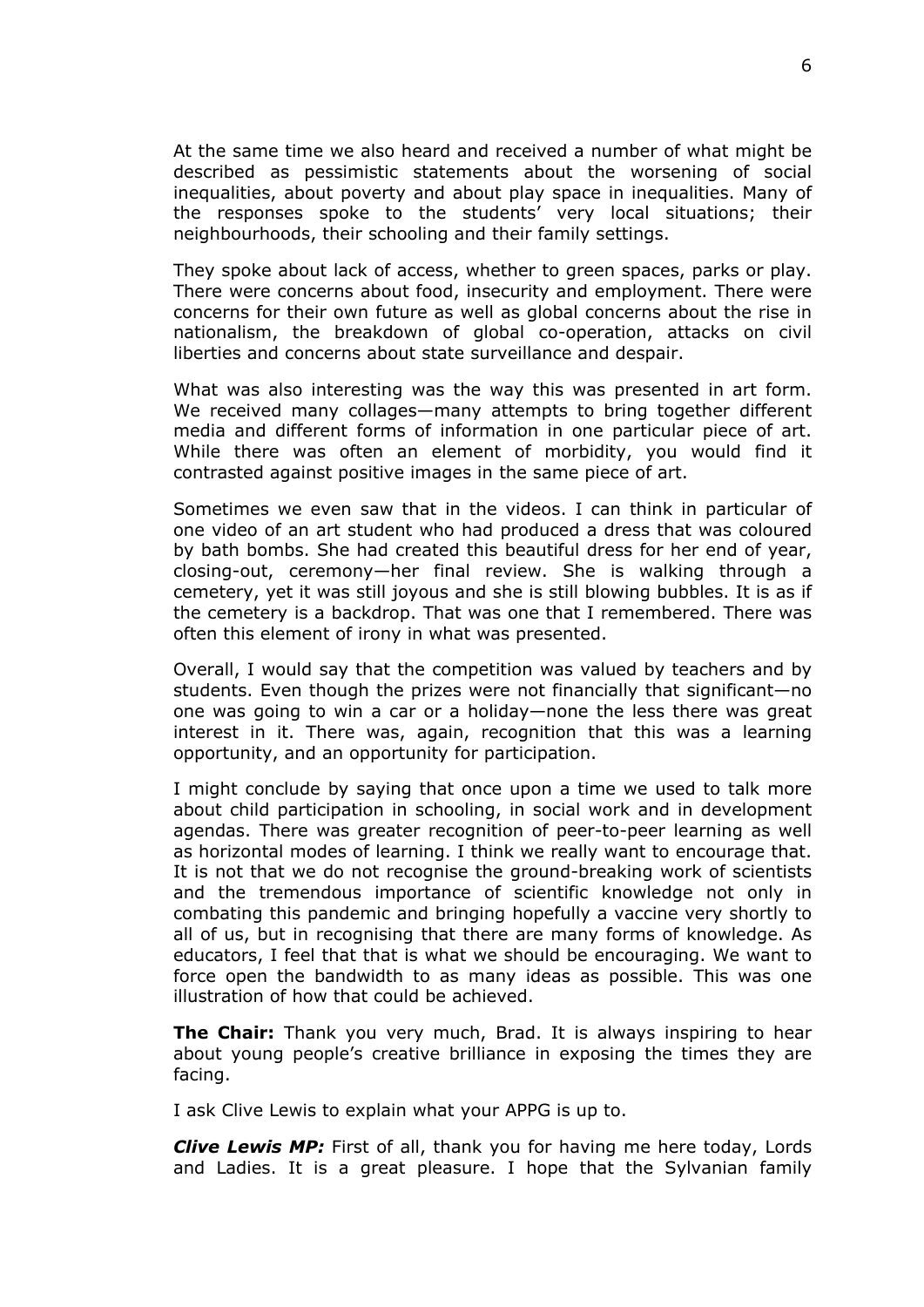At the same time we also heard and received a number of what might be described as pessimistic statements about the worsening of social inequalities, about poverty and about play space in inequalities. Many of the responses spoke to the students' very local situations; their neighbourhoods, their schooling and their family settings.

They spoke about lack of access, whether to green spaces, parks or play. There were concerns about food, insecurity and employment. There were concerns for their own future as well as global concerns about the rise in nationalism, the breakdown of global co-operation, attacks on civil liberties and concerns about state surveillance and despair.

What was also interesting was the way this was presented in art form. We received many collages—many attempts to bring together different media and different forms of information in one particular piece of art. While there was often an element of morbidity, you would find it contrasted against positive images in the same piece of art.

Sometimes we even saw that in the videos. I can think in particular of one video of an art student who had produced a dress that was coloured by bath bombs. She had created this beautiful dress for her end of year, closing-out, ceremony—her final review. She is walking through a cemetery, yet it was still joyous and she is still blowing bubbles. It is as if the cemetery is a backdrop. That was one that I remembered. There was often this element of irony in what was presented.

Overall, I would say that the competition was valued by teachers and by students. Even though the prizes were not financially that significant—no one was going to win a car or a holiday—none the less there was great interest in it. There was, again, recognition that this was a learning opportunity, and an opportunity for participation.

I might conclude by saying that once upon a time we used to talk more about child participation in schooling, in social work and in development agendas. There was greater recognition of peer-to-peer learning as well as horizontal modes of learning. I think we really want to encourage that. It is not that we do not recognise the ground-breaking work of scientists and the tremendous importance of scientific knowledge not only in combating this pandemic and bringing hopefully a vaccine very shortly to all of us, but in recognising that there are many forms of knowledge. As educators, I feel that that is what we should be encouraging. We want to force open the bandwidth to as many ideas as possible. This was one illustration of how that could be achieved.

**The Chair:** Thank you very much, Brad. It is always inspiring to hear about young people's creative brilliance in exposing the times they are facing.

I ask Clive Lewis to explain what your APPG is up to.

*Clive Lewis MP:* First of all, thank you for having me here today, Lords and Ladies. It is a great pleasure. I hope that the Sylvanian family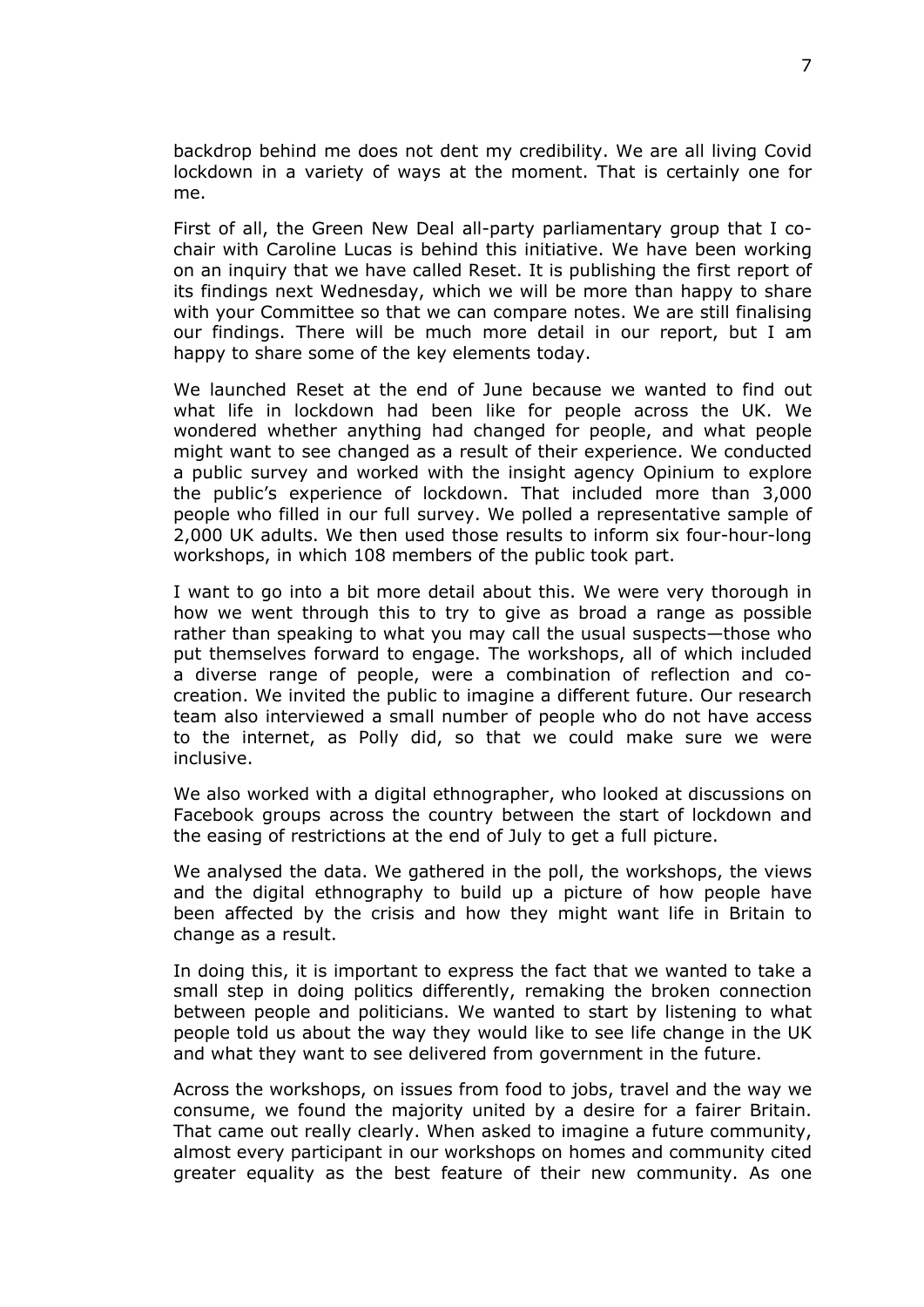backdrop behind me does not dent my credibility. We are all living Covid lockdown in a variety of ways at the moment. That is certainly one for me.

First of all, the Green New Deal all-party parliamentary group that I cochair with Caroline Lucas is behind this initiative. We have been working on an inquiry that we have called Reset. It is publishing the first report of its findings next Wednesday, which we will be more than happy to share with your Committee so that we can compare notes. We are still finalising our findings. There will be much more detail in our report, but I am happy to share some of the key elements today.

We launched Reset at the end of June because we wanted to find out what life in lockdown had been like for people across the UK. We wondered whether anything had changed for people, and what people might want to see changed as a result of their experience. We conducted a public survey and worked with the insight agency Opinium to explore the public's experience of lockdown. That included more than 3,000 people who filled in our full survey. We polled a representative sample of 2,000 UK adults. We then used those results to inform six four-hour-long workshops, in which 108 members of the public took part.

I want to go into a bit more detail about this. We were very thorough in how we went through this to try to give as broad a range as possible rather than speaking to what you may call the usual suspects—those who put themselves forward to engage. The workshops, all of which included a diverse range of people, were a combination of reflection and cocreation. We invited the public to imagine a different future. Our research team also interviewed a small number of people who do not have access to the internet, as Polly did, so that we could make sure we were inclusive.

We also worked with a digital ethnographer, who looked at discussions on Facebook groups across the country between the start of lockdown and the easing of restrictions at the end of July to get a full picture.

We analysed the data. We gathered in the poll, the workshops, the views and the digital ethnography to build up a picture of how people have been affected by the crisis and how they might want life in Britain to change as a result.

In doing this, it is important to express the fact that we wanted to take a small step in doing politics differently, remaking the broken connection between people and politicians. We wanted to start by listening to what people told us about the way they would like to see life change in the UK and what they want to see delivered from government in the future.

Across the workshops, on issues from food to jobs, travel and the way we consume, we found the majority united by a desire for a fairer Britain. That came out really clearly. When asked to imagine a future community, almost every participant in our workshops on homes and community cited greater equality as the best feature of their new community. As one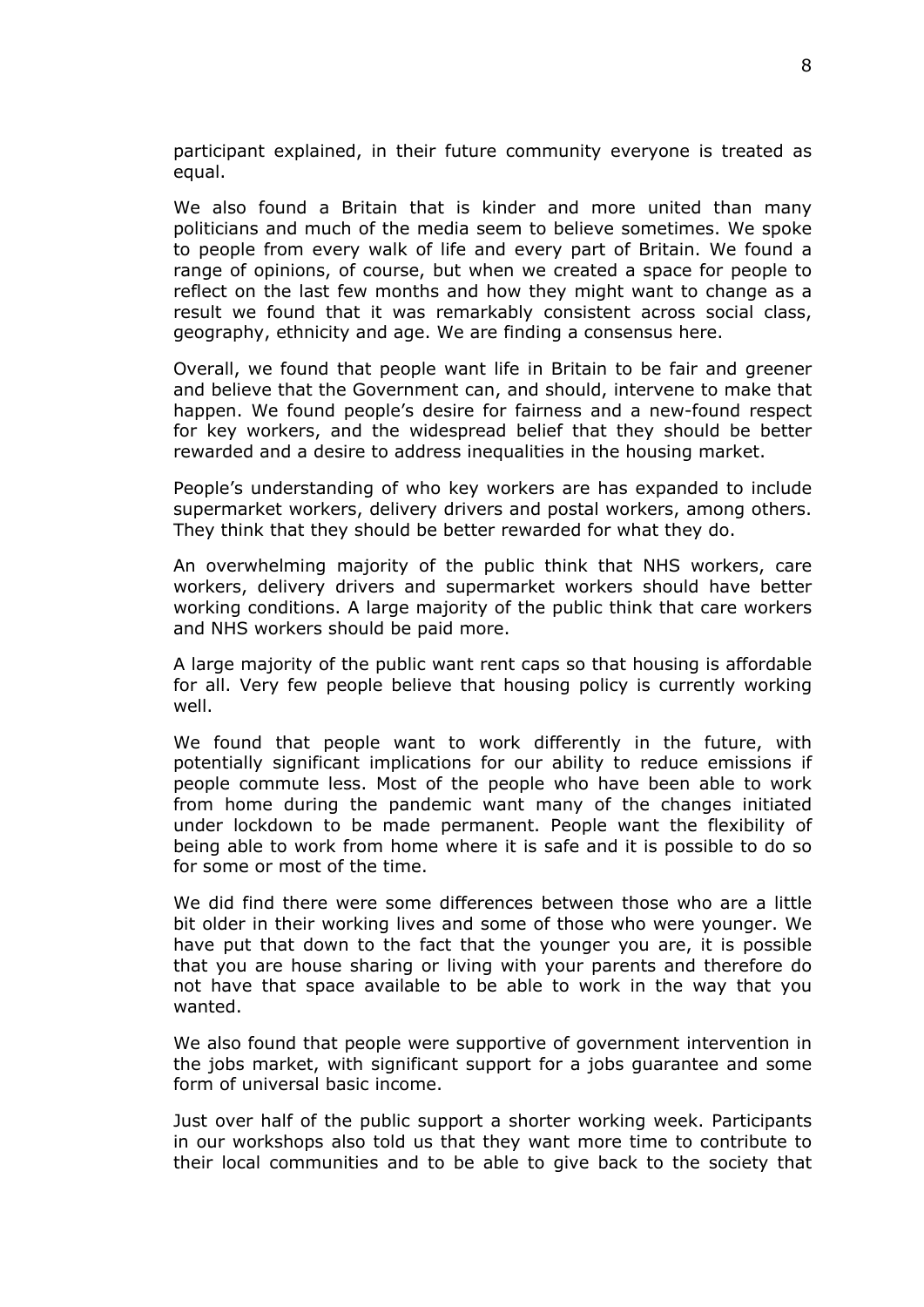participant explained, in their future community everyone is treated as equal.

We also found a Britain that is kinder and more united than many politicians and much of the media seem to believe sometimes. We spoke to people from every walk of life and every part of Britain. We found a range of opinions, of course, but when we created a space for people to reflect on the last few months and how they might want to change as a result we found that it was remarkably consistent across social class, geography, ethnicity and age. We are finding a consensus here.

Overall, we found that people want life in Britain to be fair and greener and believe that the Government can, and should, intervene to make that happen. We found people's desire for fairness and a new-found respect for key workers, and the widespread belief that they should be better rewarded and a desire to address inequalities in the housing market.

People's understanding of who key workers are has expanded to include supermarket workers, delivery drivers and postal workers, among others. They think that they should be better rewarded for what they do.

An overwhelming majority of the public think that NHS workers, care workers, delivery drivers and supermarket workers should have better working conditions. A large majority of the public think that care workers and NHS workers should be paid more.

A large majority of the public want rent caps so that housing is affordable for all. Very few people believe that housing policy is currently working well.

We found that people want to work differently in the future, with potentially significant implications for our ability to reduce emissions if people commute less. Most of the people who have been able to work from home during the pandemic want many of the changes initiated under lockdown to be made permanent. People want the flexibility of being able to work from home where it is safe and it is possible to do so for some or most of the time.

We did find there were some differences between those who are a little bit older in their working lives and some of those who were younger. We have put that down to the fact that the younger you are, it is possible that you are house sharing or living with your parents and therefore do not have that space available to be able to work in the way that you wanted.

We also found that people were supportive of government intervention in the jobs market, with significant support for a jobs guarantee and some form of universal basic income.

Just over half of the public support a shorter working week. Participants in our workshops also told us that they want more time to contribute to their local communities and to be able to give back to the society that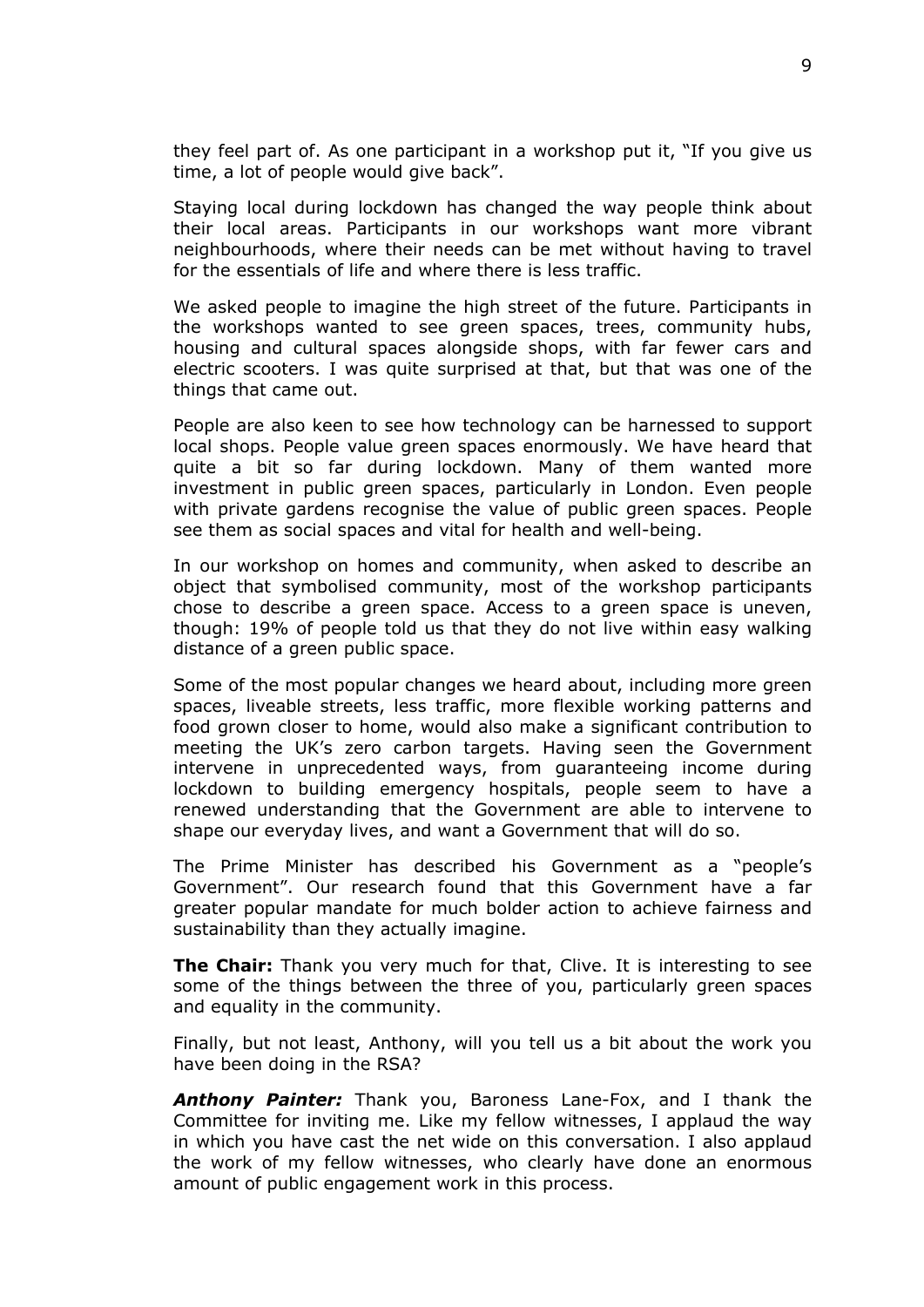they feel part of. As one participant in a workshop put it, "If you give us time, a lot of people would give back".

Staying local during lockdown has changed the way people think about their local areas. Participants in our workshops want more vibrant neighbourhoods, where their needs can be met without having to travel for the essentials of life and where there is less traffic.

We asked people to imagine the high street of the future. Participants in the workshops wanted to see green spaces, trees, community hubs, housing and cultural spaces alongside shops, with far fewer cars and electric scooters. I was quite surprised at that, but that was one of the things that came out.

People are also keen to see how technology can be harnessed to support local shops. People value green spaces enormously. We have heard that quite a bit so far during lockdown. Many of them wanted more investment in public green spaces, particularly in London. Even people with private gardens recognise the value of public green spaces. People see them as social spaces and vital for health and well-being.

In our workshop on homes and community, when asked to describe an object that symbolised community, most of the workshop participants chose to describe a green space. Access to a green space is uneven, though: 19% of people told us that they do not live within easy walking distance of a green public space.

Some of the most popular changes we heard about, including more green spaces, liveable streets, less traffic, more flexible working patterns and food grown closer to home, would also make a significant contribution to meeting the UK's zero carbon targets. Having seen the Government intervene in unprecedented ways, from guaranteeing income during lockdown to building emergency hospitals, people seem to have a renewed understanding that the Government are able to intervene to shape our everyday lives, and want a Government that will do so.

The Prime Minister has described his Government as a "people's Government". Our research found that this Government have a far greater popular mandate for much bolder action to achieve fairness and sustainability than they actually imagine.

**The Chair:** Thank you very much for that, Clive. It is interesting to see some of the things between the three of you, particularly green spaces and equality in the community.

Finally, but not least, Anthony, will you tell us a bit about the work you have been doing in the RSA?

*Anthony Painter:* Thank you, Baroness Lane-Fox, and I thank the Committee for inviting me. Like my fellow witnesses, I applaud the way in which you have cast the net wide on this conversation. I also applaud the work of my fellow witnesses, who clearly have done an enormous amount of public engagement work in this process.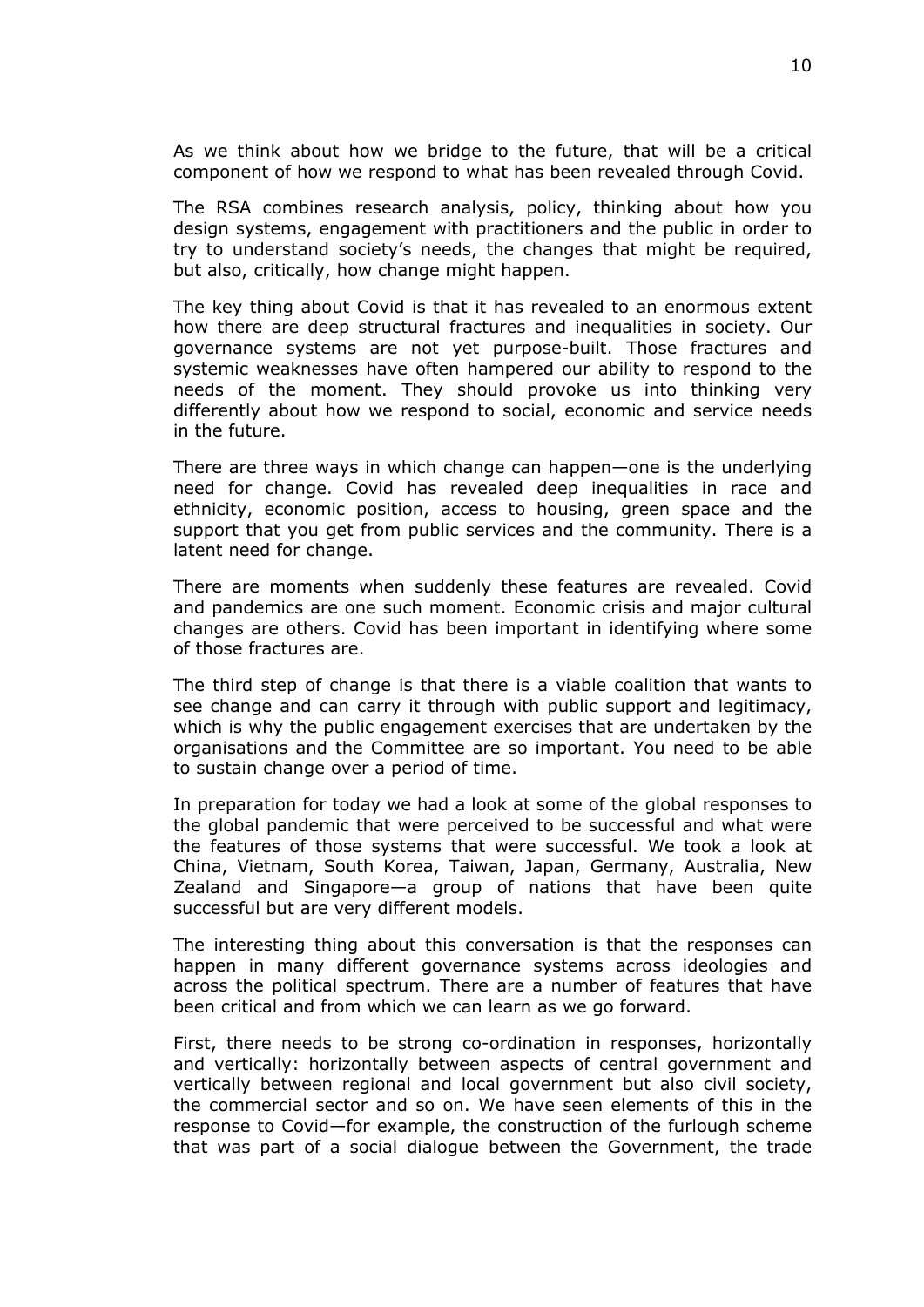As we think about how we bridge to the future, that will be a critical component of how we respond to what has been revealed through Covid.

The RSA combines research analysis, policy, thinking about how you design systems, engagement with practitioners and the public in order to try to understand society's needs, the changes that might be required, but also, critically, how change might happen.

The key thing about Covid is that it has revealed to an enormous extent how there are deep structural fractures and inequalities in society. Our governance systems are not yet purpose-built. Those fractures and systemic weaknesses have often hampered our ability to respond to the needs of the moment. They should provoke us into thinking very differently about how we respond to social, economic and service needs in the future.

There are three ways in which change can happen—one is the underlying need for change. Covid has revealed deep inequalities in race and ethnicity, economic position, access to housing, green space and the support that you get from public services and the community. There is a latent need for change.

There are moments when suddenly these features are revealed. Covid and pandemics are one such moment. Economic crisis and major cultural changes are others. Covid has been important in identifying where some of those fractures are.

The third step of change is that there is a viable coalition that wants to see change and can carry it through with public support and legitimacy, which is why the public engagement exercises that are undertaken by the organisations and the Committee are so important. You need to be able to sustain change over a period of time.

In preparation for today we had a look at some of the global responses to the global pandemic that were perceived to be successful and what were the features of those systems that were successful. We took a look at China, Vietnam, South Korea, Taiwan, Japan, Germany, Australia, New Zealand and Singapore—a group of nations that have been quite successful but are very different models.

The interesting thing about this conversation is that the responses can happen in many different governance systems across ideologies and across the political spectrum. There are a number of features that have been critical and from which we can learn as we go forward.

First, there needs to be strong co-ordination in responses, horizontally and vertically: horizontally between aspects of central government and vertically between regional and local government but also civil society, the commercial sector and so on. We have seen elements of this in the response to Covid—for example, the construction of the furlough scheme that was part of a social dialogue between the Government, the trade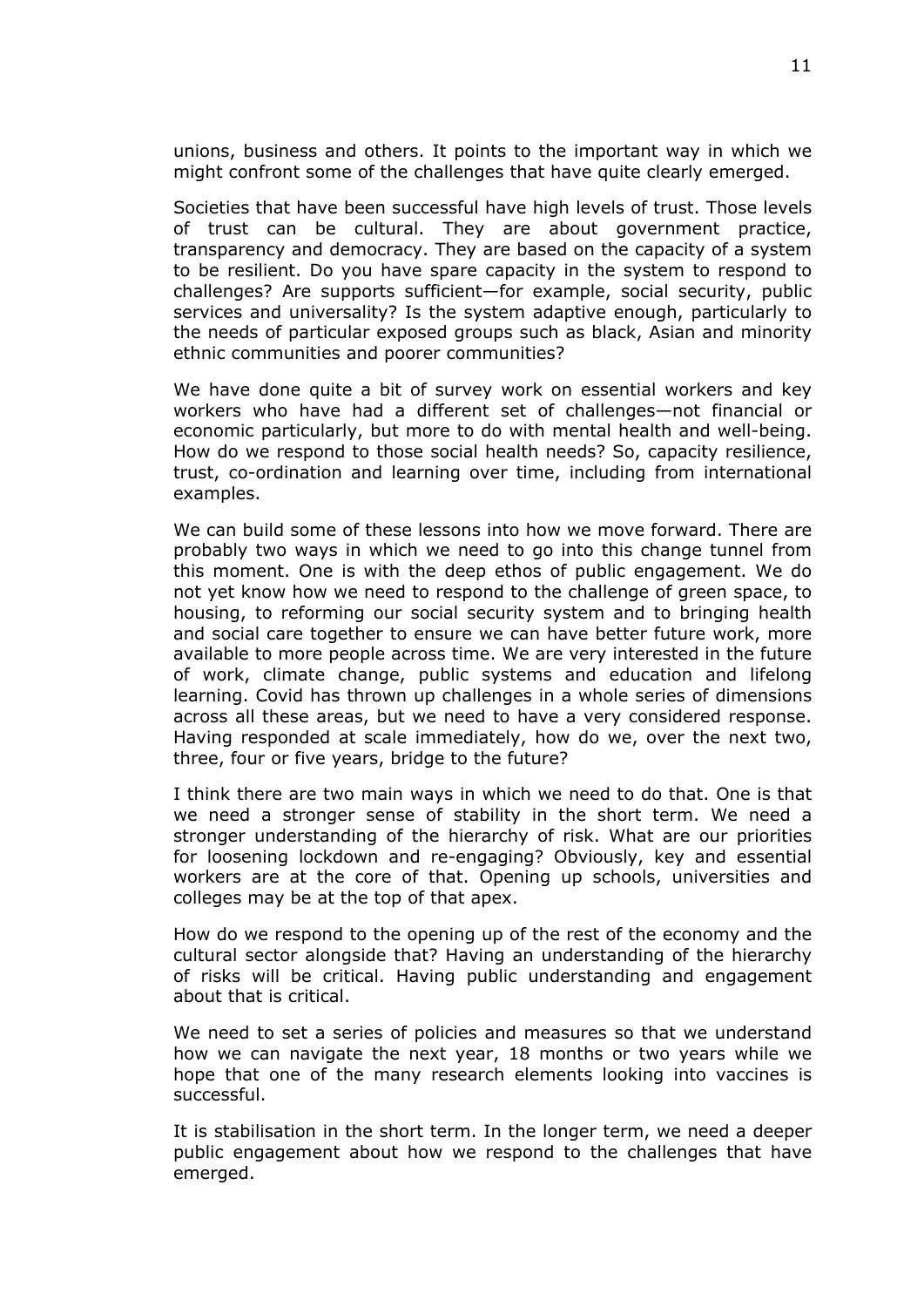unions, business and others. It points to the important way in which we might confront some of the challenges that have quite clearly emerged.

Societies that have been successful have high levels of trust. Those levels of trust can be cultural. They are about government practice, transparency and democracy. They are based on the capacity of a system to be resilient. Do you have spare capacity in the system to respond to challenges? Are supports sufficient—for example, social security, public services and universality? Is the system adaptive enough, particularly to the needs of particular exposed groups such as black, Asian and minority ethnic communities and poorer communities?

We have done quite a bit of survey work on essential workers and key workers who have had a different set of challenges—not financial or economic particularly, but more to do with mental health and well-being. How do we respond to those social health needs? So, capacity resilience, trust, co-ordination and learning over time, including from international examples.

We can build some of these lessons into how we move forward. There are probably two ways in which we need to go into this change tunnel from this moment. One is with the deep ethos of public engagement. We do not yet know how we need to respond to the challenge of green space, to housing, to reforming our social security system and to bringing health and social care together to ensure we can have better future work, more available to more people across time. We are very interested in the future of work, climate change, public systems and education and lifelong learning. Covid has thrown up challenges in a whole series of dimensions across all these areas, but we need to have a very considered response. Having responded at scale immediately, how do we, over the next two, three, four or five years, bridge to the future?

I think there are two main ways in which we need to do that. One is that we need a stronger sense of stability in the short term. We need a stronger understanding of the hierarchy of risk. What are our priorities for loosening lockdown and re-engaging? Obviously, key and essential workers are at the core of that. Opening up schools, universities and colleges may be at the top of that apex.

How do we respond to the opening up of the rest of the economy and the cultural sector alongside that? Having an understanding of the hierarchy of risks will be critical. Having public understanding and engagement about that is critical.

We need to set a series of policies and measures so that we understand how we can navigate the next year, 18 months or two years while we hope that one of the many research elements looking into vaccines is successful.

It is stabilisation in the short term. In the longer term, we need a deeper public engagement about how we respond to the challenges that have emerged.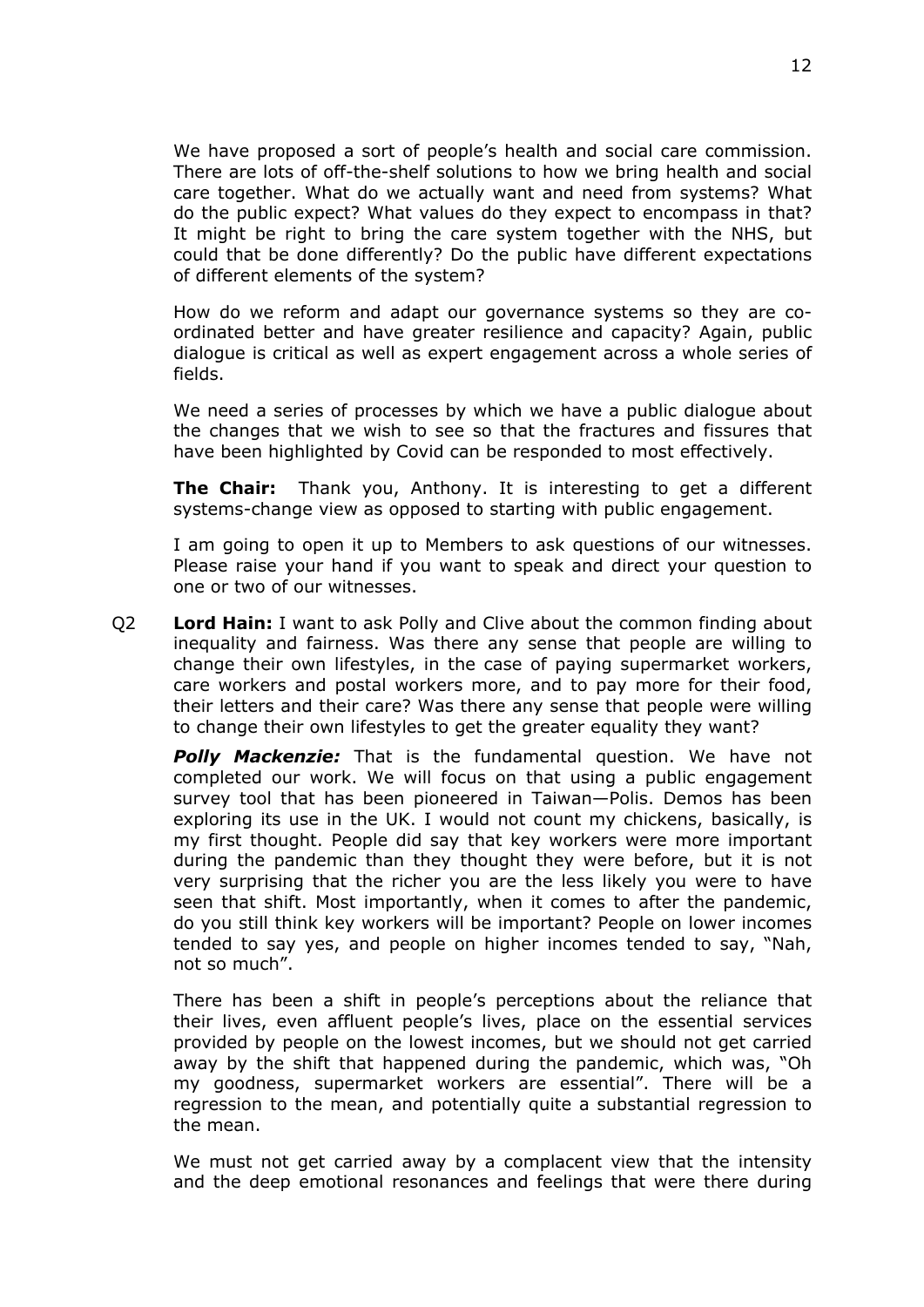We have proposed a sort of people's health and social care commission. There are lots of off-the-shelf solutions to how we bring health and social care together. What do we actually want and need from systems? What do the public expect? What values do they expect to encompass in that? It might be right to bring the care system together with the NHS, but could that be done differently? Do the public have different expectations of different elements of the system?

How do we reform and adapt our governance systems so they are coordinated better and have greater resilience and capacity? Again, public dialogue is critical as well as expert engagement across a whole series of fields.

We need a series of processes by which we have a public dialogue about the changes that we wish to see so that the fractures and fissures that have been highlighted by Covid can be responded to most effectively.

**The Chair:** Thank you, Anthony. It is interesting to get a different systems-change view as opposed to starting with public engagement.

I am going to open it up to Members to ask questions of our witnesses. Please raise your hand if you want to speak and direct your question to one or two of our witnesses.

Q2 **Lord Hain:** I want to ask Polly and Clive about the common finding about inequality and fairness. Was there any sense that people are willing to change their own lifestyles, in the case of paying supermarket workers, care workers and postal workers more, and to pay more for their food, their letters and their care? Was there any sense that people were willing to change their own lifestyles to get the greater equality they want?

*Polly Mackenzie:* That is the fundamental question. We have not completed our work. We will focus on that using a public engagement survey tool that has been pioneered in Taiwan—Polis. Demos has been exploring its use in the UK. I would not count my chickens, basically, is my first thought. People did say that key workers were more important during the pandemic than they thought they were before, but it is not very surprising that the richer you are the less likely you were to have seen that shift. Most importantly, when it comes to after the pandemic, do you still think key workers will be important? People on lower incomes tended to say yes, and people on higher incomes tended to say, "Nah, not so much".

There has been a shift in people's perceptions about the reliance that their lives, even affluent people's lives, place on the essential services provided by people on the lowest incomes, but we should not get carried away by the shift that happened during the pandemic, which was, "Oh my goodness, supermarket workers are essential". There will be a regression to the mean, and potentially quite a substantial regression to the mean.

We must not get carried away by a complacent view that the intensity and the deep emotional resonances and feelings that were there during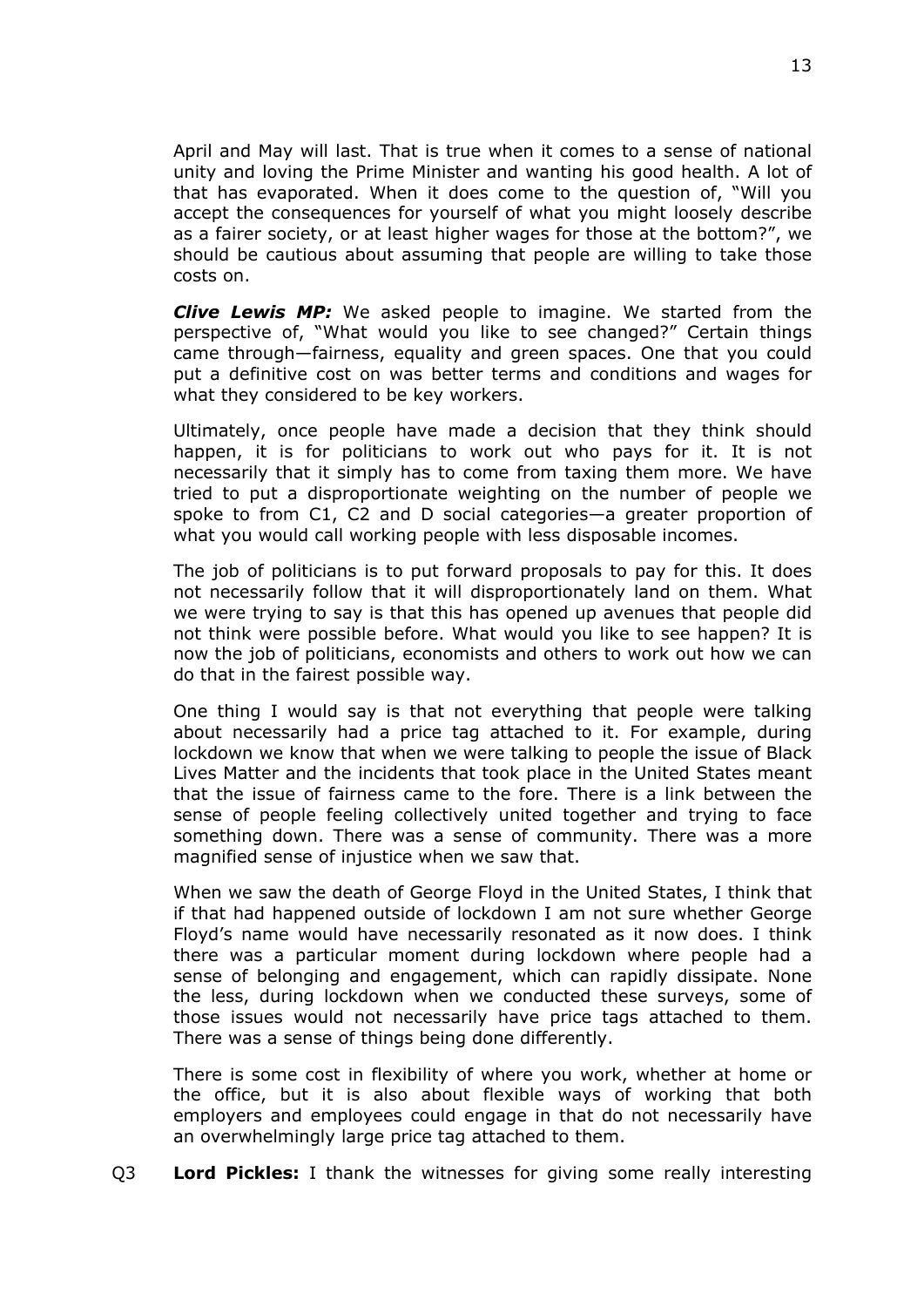April and May will last. That is true when it comes to a sense of national unity and loving the Prime Minister and wanting his good health. A lot of that has evaporated. When it does come to the question of, "Will you accept the consequences for yourself of what you might loosely describe as a fairer society, or at least higher wages for those at the bottom?", we should be cautious about assuming that people are willing to take those costs on.

*Clive Lewis MP:* We asked people to imagine. We started from the perspective of, "What would you like to see changed?" Certain things came through—fairness, equality and green spaces. One that you could put a definitive cost on was better terms and conditions and wages for what they considered to be key workers.

Ultimately, once people have made a decision that they think should happen, it is for politicians to work out who pays for it. It is not necessarily that it simply has to come from taxing them more. We have tried to put a disproportionate weighting on the number of people we spoke to from C1, C2 and D social categories—a greater proportion of what you would call working people with less disposable incomes.

The job of politicians is to put forward proposals to pay for this. It does not necessarily follow that it will disproportionately land on them. What we were trying to say is that this has opened up avenues that people did not think were possible before. What would you like to see happen? It is now the job of politicians, economists and others to work out how we can do that in the fairest possible way.

One thing I would say is that not everything that people were talking about necessarily had a price tag attached to it. For example, during lockdown we know that when we were talking to people the issue of Black Lives Matter and the incidents that took place in the United States meant that the issue of fairness came to the fore. There is a link between the sense of people feeling collectively united together and trying to face something down. There was a sense of community. There was a more magnified sense of injustice when we saw that.

When we saw the death of George Floyd in the United States, I think that if that had happened outside of lockdown I am not sure whether George Floyd's name would have necessarily resonated as it now does. I think there was a particular moment during lockdown where people had a sense of belonging and engagement, which can rapidly dissipate. None the less, during lockdown when we conducted these surveys, some of those issues would not necessarily have price tags attached to them. There was a sense of things being done differently.

There is some cost in flexibility of where you work, whether at home or the office, but it is also about flexible ways of working that both employers and employees could engage in that do not necessarily have an overwhelmingly large price tag attached to them.

Q3 **Lord Pickles:** I thank the witnesses for giving some really interesting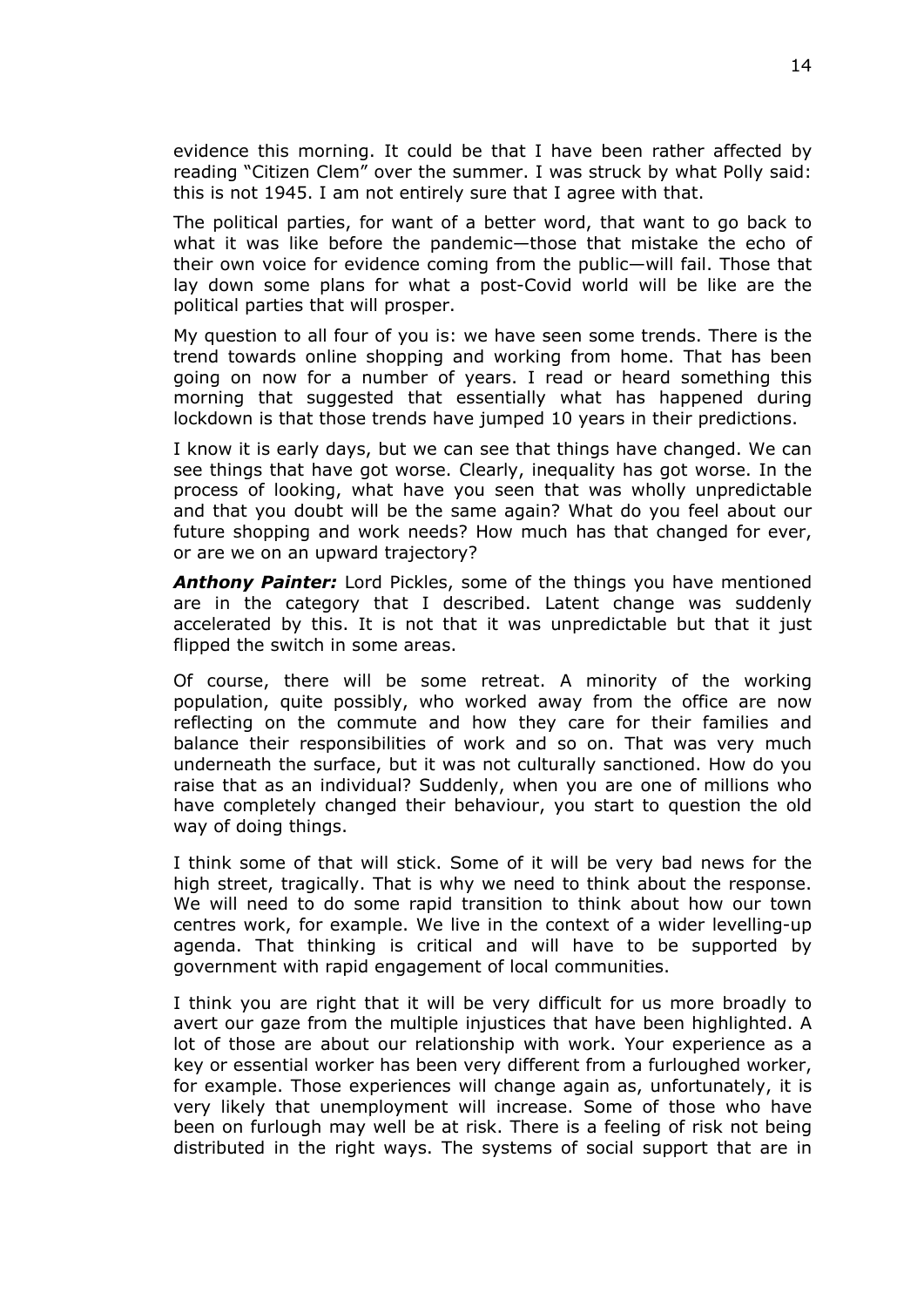evidence this morning. It could be that I have been rather affected by reading "Citizen Clem" over the summer. I was struck by what Polly said: this is not 1945. I am not entirely sure that I agree with that.

The political parties, for want of a better word, that want to go back to what it was like before the pandemic—those that mistake the echo of their own voice for evidence coming from the public—will fail. Those that lay down some plans for what a post-Covid world will be like are the political parties that will prosper.

My question to all four of you is: we have seen some trends. There is the trend towards online shopping and working from home. That has been going on now for a number of years. I read or heard something this morning that suggested that essentially what has happened during lockdown is that those trends have jumped 10 years in their predictions.

I know it is early days, but we can see that things have changed. We can see things that have got worse. Clearly, inequality has got worse. In the process of looking, what have you seen that was wholly unpredictable and that you doubt will be the same again? What do you feel about our future shopping and work needs? How much has that changed for ever, or are we on an upward trajectory?

*Anthony Painter:* Lord Pickles, some of the things you have mentioned are in the category that I described. Latent change was suddenly accelerated by this. It is not that it was unpredictable but that it just flipped the switch in some areas.

Of course, there will be some retreat. A minority of the working population, quite possibly, who worked away from the office are now reflecting on the commute and how they care for their families and balance their responsibilities of work and so on. That was very much underneath the surface, but it was not culturally sanctioned. How do you raise that as an individual? Suddenly, when you are one of millions who have completely changed their behaviour, you start to question the old way of doing things.

I think some of that will stick. Some of it will be very bad news for the high street, tragically. That is why we need to think about the response. We will need to do some rapid transition to think about how our town centres work, for example. We live in the context of a wider levelling-up agenda. That thinking is critical and will have to be supported by government with rapid engagement of local communities.

I think you are right that it will be very difficult for us more broadly to avert our gaze from the multiple injustices that have been highlighted. A lot of those are about our relationship with work. Your experience as a key or essential worker has been very different from a furloughed worker, for example. Those experiences will change again as, unfortunately, it is very likely that unemployment will increase. Some of those who have been on furlough may well be at risk. There is a feeling of risk not being distributed in the right ways. The systems of social support that are in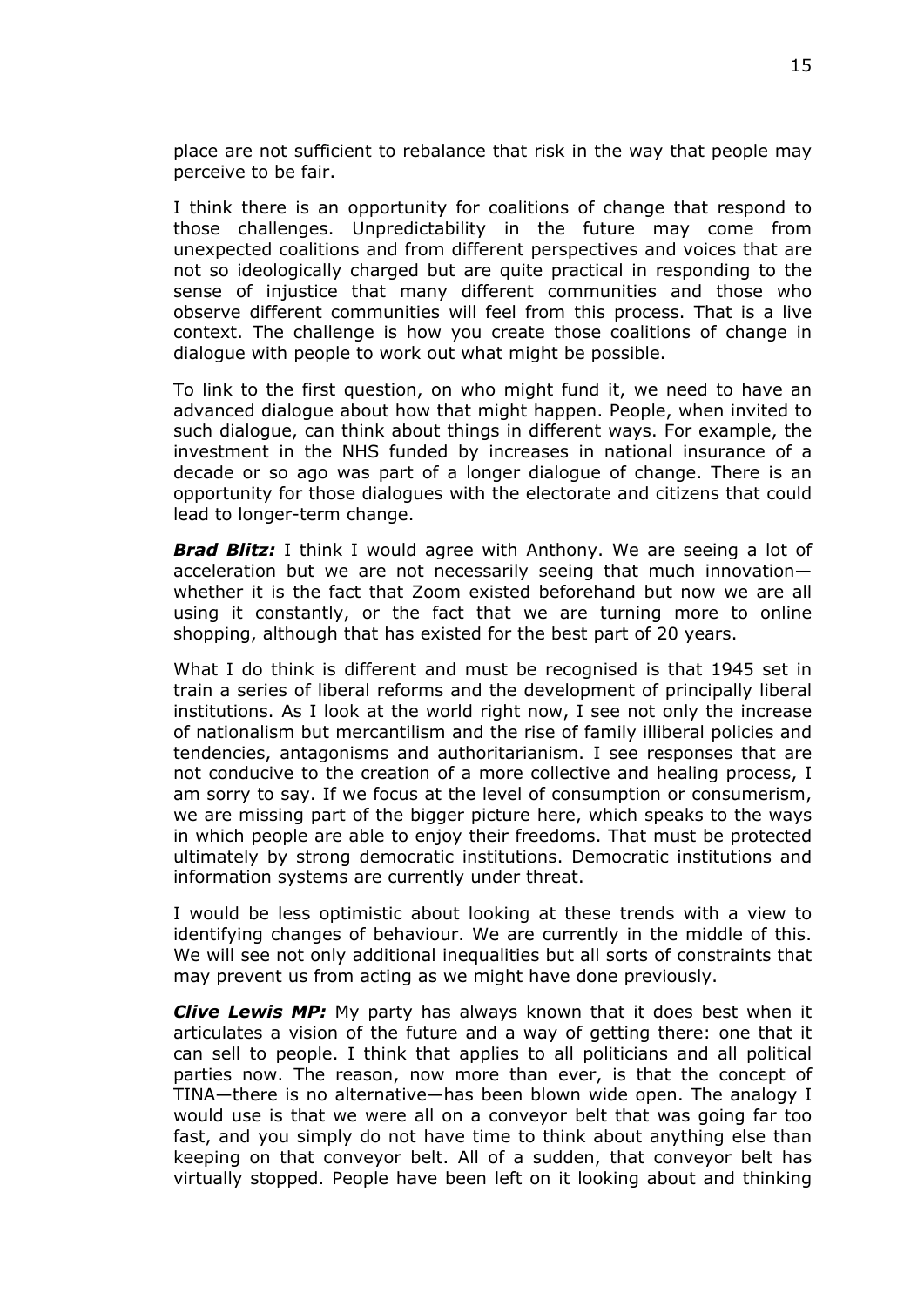place are not sufficient to rebalance that risk in the way that people may perceive to be fair.

I think there is an opportunity for coalitions of change that respond to those challenges. Unpredictability in the future may come from unexpected coalitions and from different perspectives and voices that are not so ideologically charged but are quite practical in responding to the sense of injustice that many different communities and those who observe different communities will feel from this process. That is a live context. The challenge is how you create those coalitions of change in dialogue with people to work out what might be possible.

To link to the first question, on who might fund it, we need to have an advanced dialogue about how that might happen. People, when invited to such dialogue, can think about things in different ways. For example, the investment in the NHS funded by increases in national insurance of a decade or so ago was part of a longer dialogue of change. There is an opportunity for those dialogues with the electorate and citizens that could lead to longer-term change.

**Brad Blitz:** I think I would agree with Anthony. We are seeing a lot of acceleration but we are not necessarily seeing that much innovation whether it is the fact that Zoom existed beforehand but now we are all using it constantly, or the fact that we are turning more to online shopping, although that has existed for the best part of 20 years.

What I do think is different and must be recognised is that 1945 set in train a series of liberal reforms and the development of principally liberal institutions. As I look at the world right now, I see not only the increase of nationalism but mercantilism and the rise of family illiberal policies and tendencies, antagonisms and authoritarianism. I see responses that are not conducive to the creation of a more collective and healing process, I am sorry to say. If we focus at the level of consumption or consumerism, we are missing part of the bigger picture here, which speaks to the ways in which people are able to enjoy their freedoms. That must be protected ultimately by strong democratic institutions. Democratic institutions and information systems are currently under threat.

I would be less optimistic about looking at these trends with a view to identifying changes of behaviour. We are currently in the middle of this. We will see not only additional inequalities but all sorts of constraints that may prevent us from acting as we might have done previously.

*Clive Lewis MP:* My party has always known that it does best when it articulates a vision of the future and a way of getting there: one that it can sell to people. I think that applies to all politicians and all political parties now. The reason, now more than ever, is that the concept of TINA—there is no alternative—has been blown wide open. The analogy I would use is that we were all on a conveyor belt that was going far too fast, and you simply do not have time to think about anything else than keeping on that conveyor belt. All of a sudden, that conveyor belt has virtually stopped. People have been left on it looking about and thinking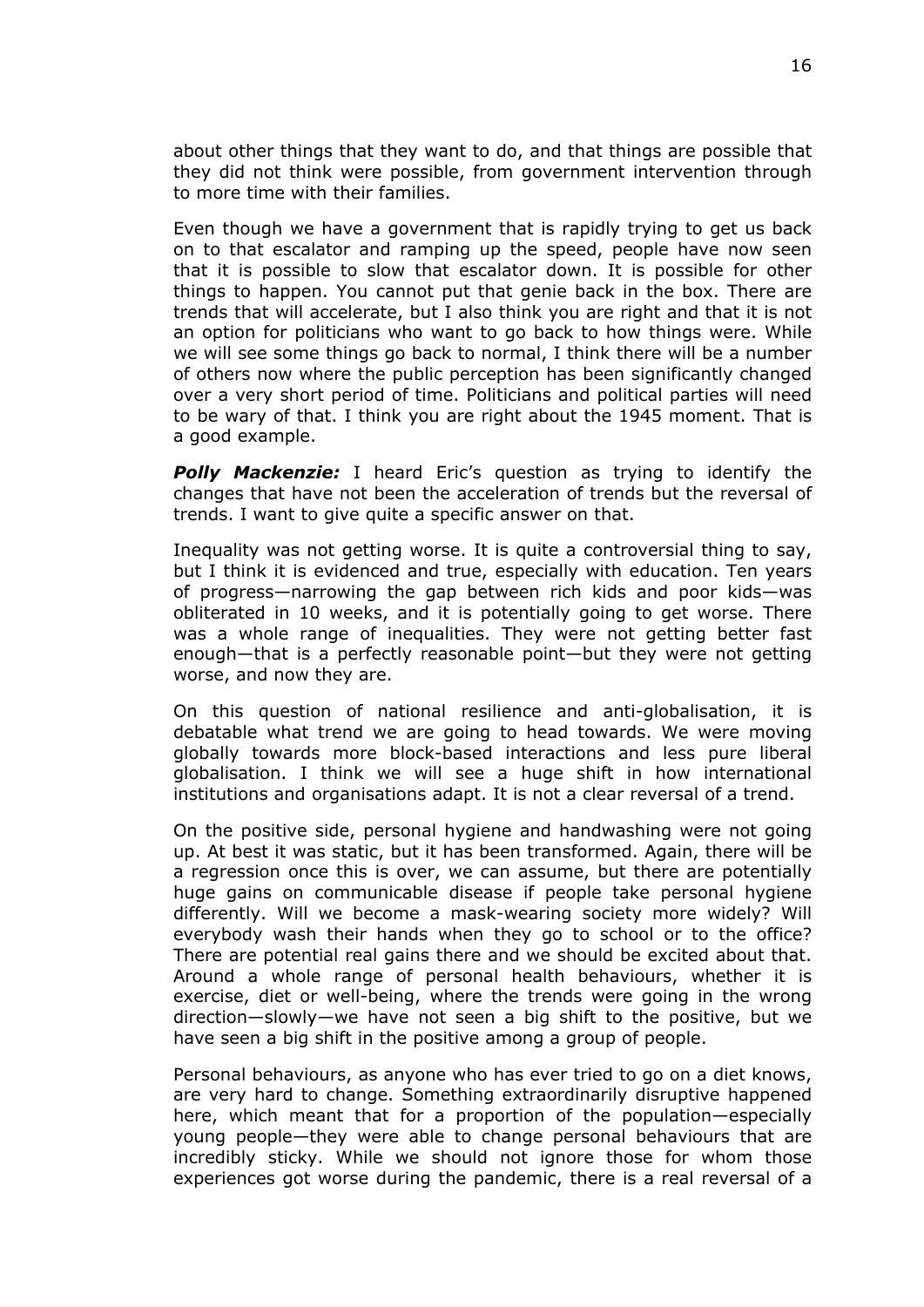about other things that they want to do, and that things are possible that they did not think were possible, from government intervention through to more time with their families.

Even though we have a government that is rapidly trying to get us back on to that escalator and ramping up the speed, people have now seen that it is possible to slow that escalator down. It is possible for other things to happen. You cannot put that genie back in the box. There are trends that will accelerate, but I also think you are right and that it is not an option for politicians who want to go back to how things were. While we will see some things go back to normal, I think there will be a number of others now where the public perception has been significantly changed over a very short period of time. Politicians and political parties will need to be wary of that. I think you are right about the 1945 moment. That is a good example.

*Polly Mackenzie:* I heard Eric's question as trying to identify the changes that have not been the acceleration of trends but the reversal of trends. I want to give quite a specific answer on that.

Inequality was not getting worse. It is quite a controversial thing to say, but I think it is evidenced and true, especially with education. Ten years of progress—narrowing the gap between rich kids and poor kids—was obliterated in 10 weeks, and it is potentially going to get worse. There was a whole range of inequalities. They were not getting better fast enough—that is a perfectly reasonable point—but they were not getting worse, and now they are.

On this question of national resilience and anti-globalisation, it is debatable what trend we are going to head towards. We were moving globally towards more block-based interactions and less pure liberal globalisation. I think we will see a huge shift in how international institutions and organisations adapt. It is not a clear reversal of a trend.

On the positive side, personal hygiene and handwashing were not going up. At best it was static, but it has been transformed. Again, there will be a regression once this is over, we can assume, but there are potentially huge gains on communicable disease if people take personal hygiene differently. Will we become a mask-wearing society more widely? Will everybody wash their hands when they go to school or to the office? There are potential real gains there and we should be excited about that. Around a whole range of personal health behaviours, whether it is exercise, diet or well-being, where the trends were going in the wrong direction—slowly—we have not seen a big shift to the positive, but we have seen a big shift in the positive among a group of people.

Personal behaviours, as anyone who has ever tried to go on a diet knows, are very hard to change. Something extraordinarily disruptive happened here, which meant that for a proportion of the population—especially young people—they were able to change personal behaviours that are incredibly sticky. While we should not ignore those for whom those experiences got worse during the pandemic, there is a real reversal of a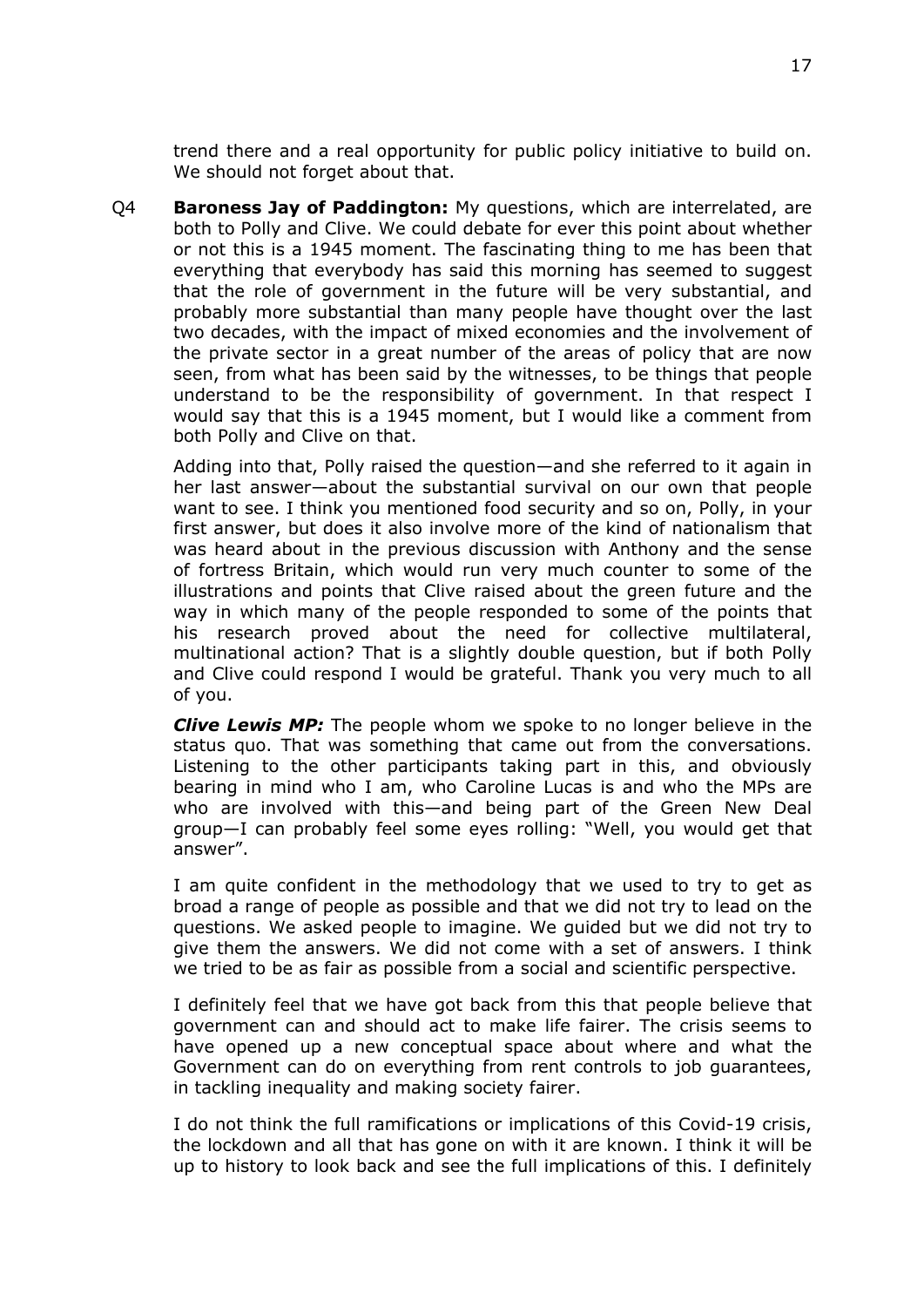trend there and a real opportunity for public policy initiative to build on. We should not forget about that.

Q4 **Baroness Jay of Paddington:** My questions, which are interrelated, are both to Polly and Clive. We could debate for ever this point about whether or not this is a 1945 moment. The fascinating thing to me has been that everything that everybody has said this morning has seemed to suggest that the role of government in the future will be very substantial, and probably more substantial than many people have thought over the last two decades, with the impact of mixed economies and the involvement of the private sector in a great number of the areas of policy that are now seen, from what has been said by the witnesses, to be things that people understand to be the responsibility of government. In that respect I would say that this is a 1945 moment, but I would like a comment from both Polly and Clive on that.

Adding into that, Polly raised the question—and she referred to it again in her last answer—about the substantial survival on our own that people want to see. I think you mentioned food security and so on, Polly, in your first answer, but does it also involve more of the kind of nationalism that was heard about in the previous discussion with Anthony and the sense of fortress Britain, which would run very much counter to some of the illustrations and points that Clive raised about the green future and the way in which many of the people responded to some of the points that his research proved about the need for collective multilateral, multinational action? That is a slightly double question, but if both Polly and Clive could respond I would be grateful. Thank you very much to all of you.

*Clive Lewis MP:* The people whom we spoke to no longer believe in the status quo. That was something that came out from the conversations. Listening to the other participants taking part in this, and obviously bearing in mind who I am, who Caroline Lucas is and who the MPs are who are involved with this—and being part of the Green New Deal group—I can probably feel some eyes rolling: "Well, you would get that answer".

I am quite confident in the methodology that we used to try to get as broad a range of people as possible and that we did not try to lead on the questions. We asked people to imagine. We guided but we did not try to give them the answers. We did not come with a set of answers. I think we tried to be as fair as possible from a social and scientific perspective.

I definitely feel that we have got back from this that people believe that government can and should act to make life fairer. The crisis seems to have opened up a new conceptual space about where and what the Government can do on everything from rent controls to job guarantees, in tackling inequality and making society fairer.

I do not think the full ramifications or implications of this Covid-19 crisis, the lockdown and all that has gone on with it are known. I think it will be up to history to look back and see the full implications of this. I definitely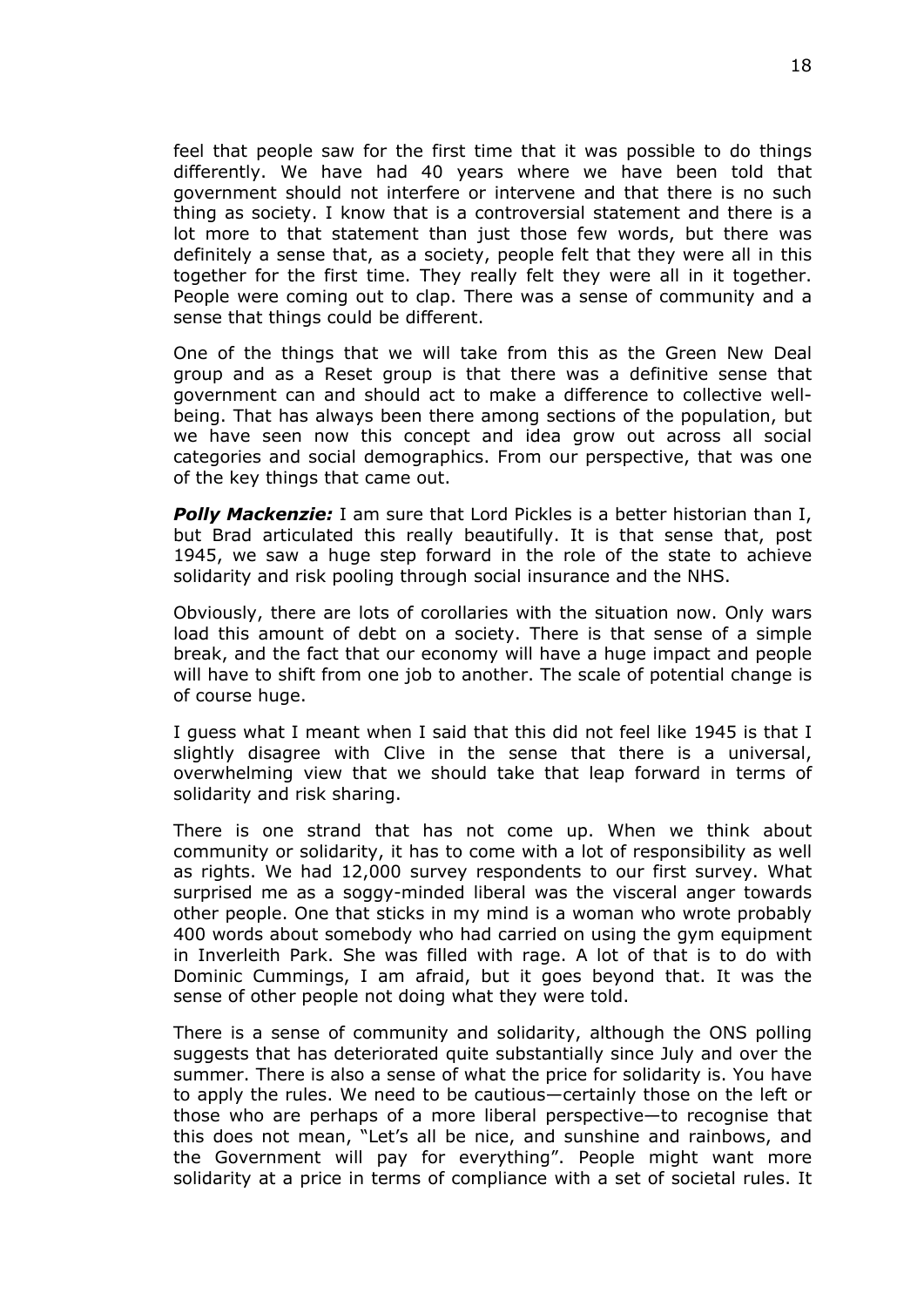feel that people saw for the first time that it was possible to do things differently. We have had 40 years where we have been told that government should not interfere or intervene and that there is no such thing as society. I know that is a controversial statement and there is a lot more to that statement than just those few words, but there was definitely a sense that, as a society, people felt that they were all in this together for the first time. They really felt they were all in it together. People were coming out to clap. There was a sense of community and a sense that things could be different.

One of the things that we will take from this as the Green New Deal group and as a Reset group is that there was a definitive sense that government can and should act to make a difference to collective wellbeing. That has always been there among sections of the population, but we have seen now this concept and idea grow out across all social categories and social demographics. From our perspective, that was one of the key things that came out.

*Polly Mackenzie:* I am sure that Lord Pickles is a better historian than I, but Brad articulated this really beautifully. It is that sense that, post 1945, we saw a huge step forward in the role of the state to achieve solidarity and risk pooling through social insurance and the NHS.

Obviously, there are lots of corollaries with the situation now. Only wars load this amount of debt on a society. There is that sense of a simple break, and the fact that our economy will have a huge impact and people will have to shift from one job to another. The scale of potential change is of course huge.

I guess what I meant when I said that this did not feel like 1945 is that I slightly disagree with Clive in the sense that there is a universal, overwhelming view that we should take that leap forward in terms of solidarity and risk sharing.

There is one strand that has not come up. When we think about community or solidarity, it has to come with a lot of responsibility as well as rights. We had 12,000 survey respondents to our first survey. What surprised me as a soggy-minded liberal was the visceral anger towards other people. One that sticks in my mind is a woman who wrote probably 400 words about somebody who had carried on using the gym equipment in Inverleith Park. She was filled with rage. A lot of that is to do with Dominic Cummings, I am afraid, but it goes beyond that. It was the sense of other people not doing what they were told.

There is a sense of community and solidarity, although the ONS polling suggests that has deteriorated quite substantially since July and over the summer. There is also a sense of what the price for solidarity is. You have to apply the rules. We need to be cautious—certainly those on the left or those who are perhaps of a more liberal perspective—to recognise that this does not mean, "Let's all be nice, and sunshine and rainbows, and the Government will pay for everything". People might want more solidarity at a price in terms of compliance with a set of societal rules. It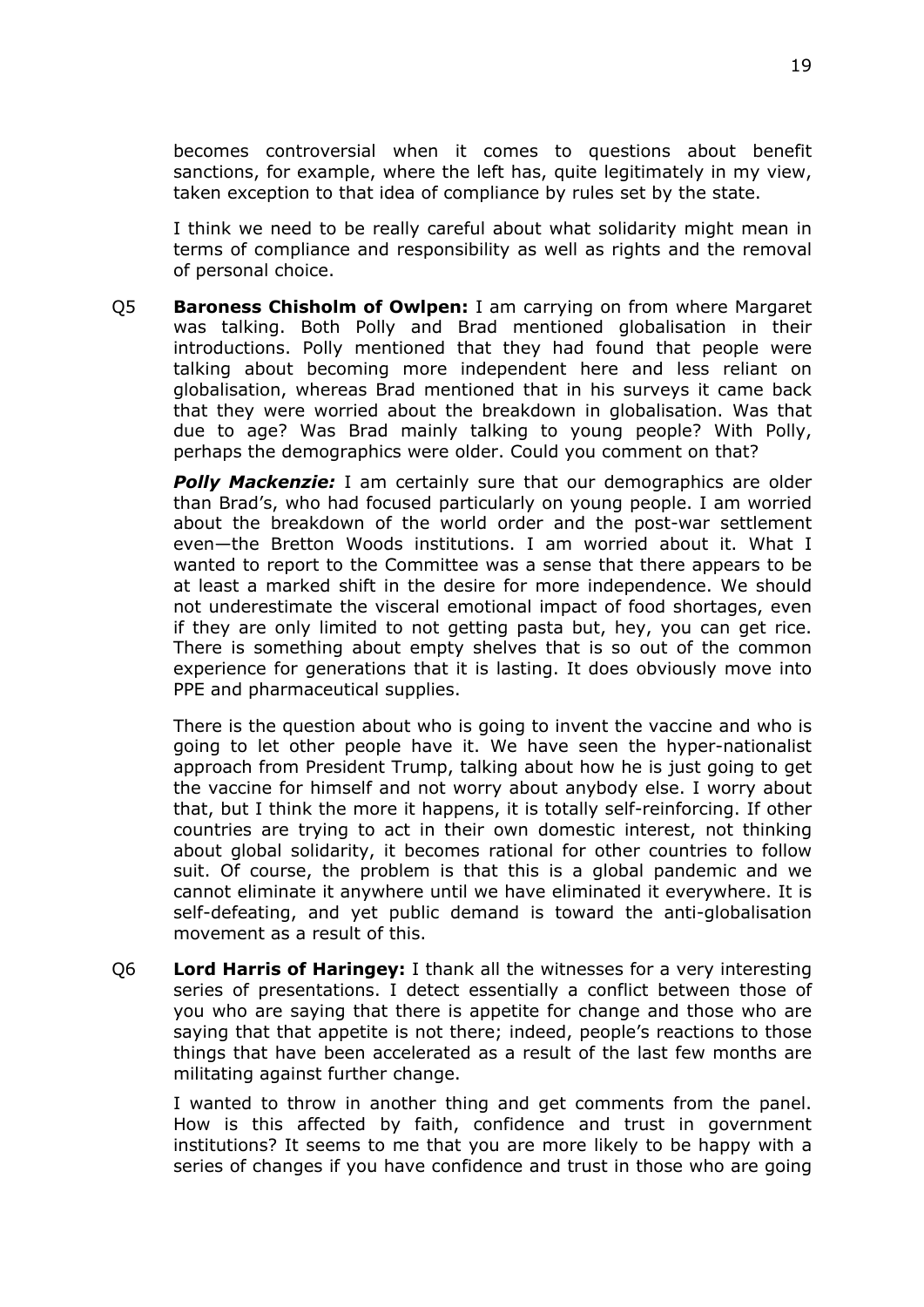becomes controversial when it comes to questions about benefit sanctions, for example, where the left has, quite legitimately in my view, taken exception to that idea of compliance by rules set by the state.

I think we need to be really careful about what solidarity might mean in terms of compliance and responsibility as well as rights and the removal of personal choice.

Q5 **Baroness Chisholm of Owlpen:** I am carrying on from where Margaret was talking. Both Polly and Brad mentioned globalisation in their introductions. Polly mentioned that they had found that people were talking about becoming more independent here and less reliant on globalisation, whereas Brad mentioned that in his surveys it came back that they were worried about the breakdown in globalisation. Was that due to age? Was Brad mainly talking to young people? With Polly, perhaps the demographics were older. Could you comment on that?

*Polly Mackenzie:* I am certainly sure that our demographics are older than Brad's, who had focused particularly on young people. I am worried about the breakdown of the world order and the post-war settlement even—the Bretton Woods institutions. I am worried about it. What I wanted to report to the Committee was a sense that there appears to be at least a marked shift in the desire for more independence. We should not underestimate the visceral emotional impact of food shortages, even if they are only limited to not getting pasta but, hey, you can get rice. There is something about empty shelves that is so out of the common experience for generations that it is lasting. It does obviously move into PPE and pharmaceutical supplies.

There is the question about who is going to invent the vaccine and who is going to let other people have it. We have seen the hyper-nationalist approach from President Trump, talking about how he is just going to get the vaccine for himself and not worry about anybody else. I worry about that, but I think the more it happens, it is totally self-reinforcing. If other countries are trying to act in their own domestic interest, not thinking about global solidarity, it becomes rational for other countries to follow suit. Of course, the problem is that this is a global pandemic and we cannot eliminate it anywhere until we have eliminated it everywhere. It is self-defeating, and yet public demand is toward the anti-globalisation movement as a result of this.

Q6 **Lord Harris of Haringey:** I thank all the witnesses for a very interesting series of presentations. I detect essentially a conflict between those of you who are saying that there is appetite for change and those who are saying that that appetite is not there; indeed, people's reactions to those things that have been accelerated as a result of the last few months are militating against further change.

I wanted to throw in another thing and get comments from the panel. How is this affected by faith, confidence and trust in government institutions? It seems to me that you are more likely to be happy with a series of changes if you have confidence and trust in those who are going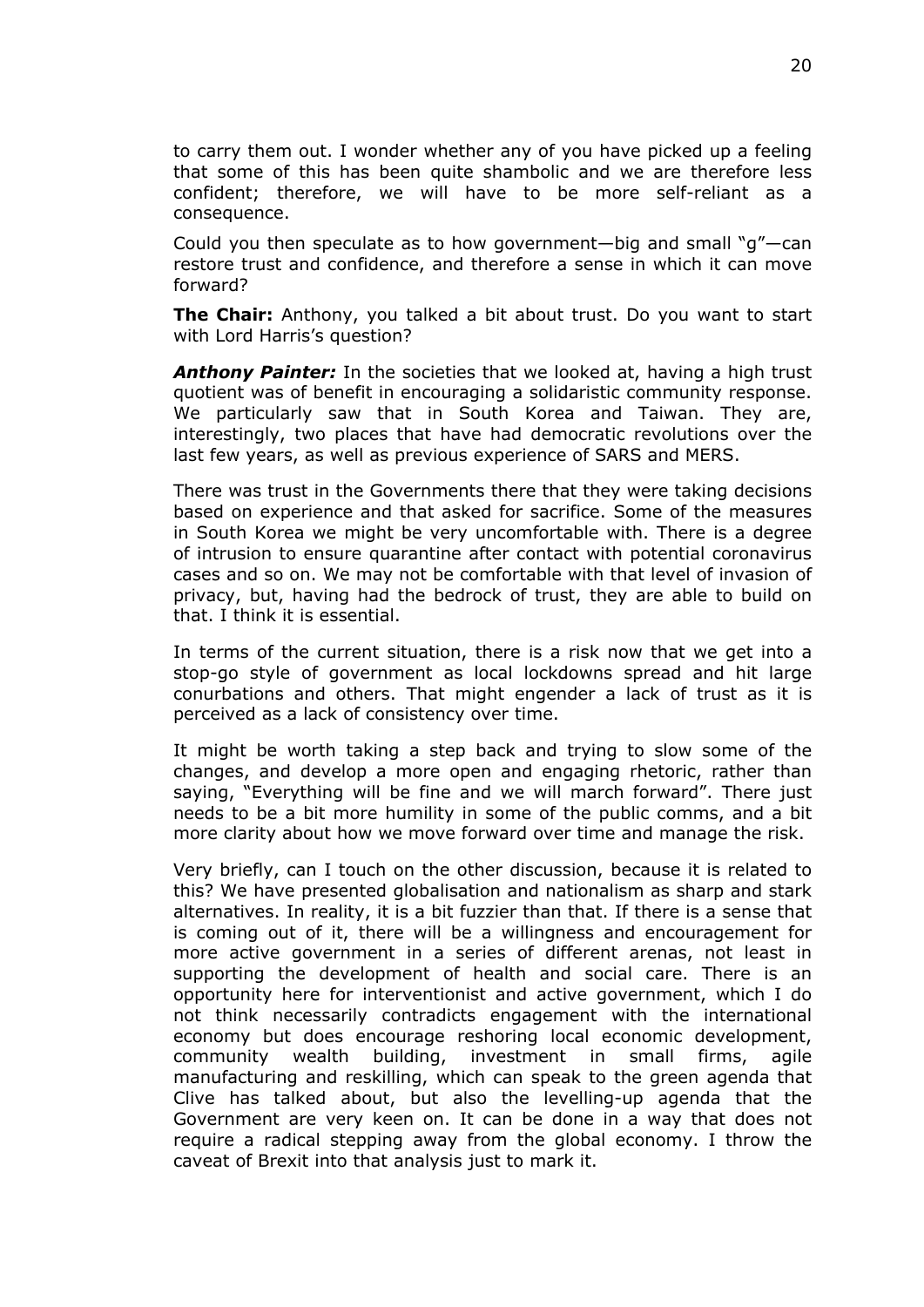to carry them out. I wonder whether any of you have picked up a feeling that some of this has been quite shambolic and we are therefore less confident; therefore, we will have to be more self-reliant as a consequence.

Could you then speculate as to how government—big and small "g"—can restore trust and confidence, and therefore a sense in which it can move forward?

**The Chair:** Anthony, you talked a bit about trust. Do you want to start with Lord Harris's question?

*Anthony Painter:* In the societies that we looked at, having a high trust quotient was of benefit in encouraging a solidaristic community response. We particularly saw that in South Korea and Taiwan. They are, interestingly, two places that have had democratic revolutions over the last few years, as well as previous experience of SARS and MERS.

There was trust in the Governments there that they were taking decisions based on experience and that asked for sacrifice. Some of the measures in South Korea we might be very uncomfortable with. There is a degree of intrusion to ensure quarantine after contact with potential coronavirus cases and so on. We may not be comfortable with that level of invasion of privacy, but, having had the bedrock of trust, they are able to build on that. I think it is essential.

In terms of the current situation, there is a risk now that we get into a stop-go style of government as local lockdowns spread and hit large conurbations and others. That might engender a lack of trust as it is perceived as a lack of consistency over time.

It might be worth taking a step back and trying to slow some of the changes, and develop a more open and engaging rhetoric, rather than saying, "Everything will be fine and we will march forward". There just needs to be a bit more humility in some of the public comms, and a bit more clarity about how we move forward over time and manage the risk.

Very briefly, can I touch on the other discussion, because it is related to this? We have presented globalisation and nationalism as sharp and stark alternatives. In reality, it is a bit fuzzier than that. If there is a sense that is coming out of it, there will be a willingness and encouragement for more active government in a series of different arenas, not least in supporting the development of health and social care. There is an opportunity here for interventionist and active government, which I do not think necessarily contradicts engagement with the international economy but does encourage reshoring local economic development, community wealth building, investment in small firms, agile manufacturing and reskilling, which can speak to the green agenda that Clive has talked about, but also the levelling-up agenda that the Government are very keen on. It can be done in a way that does not require a radical stepping away from the global economy. I throw the caveat of Brexit into that analysis just to mark it.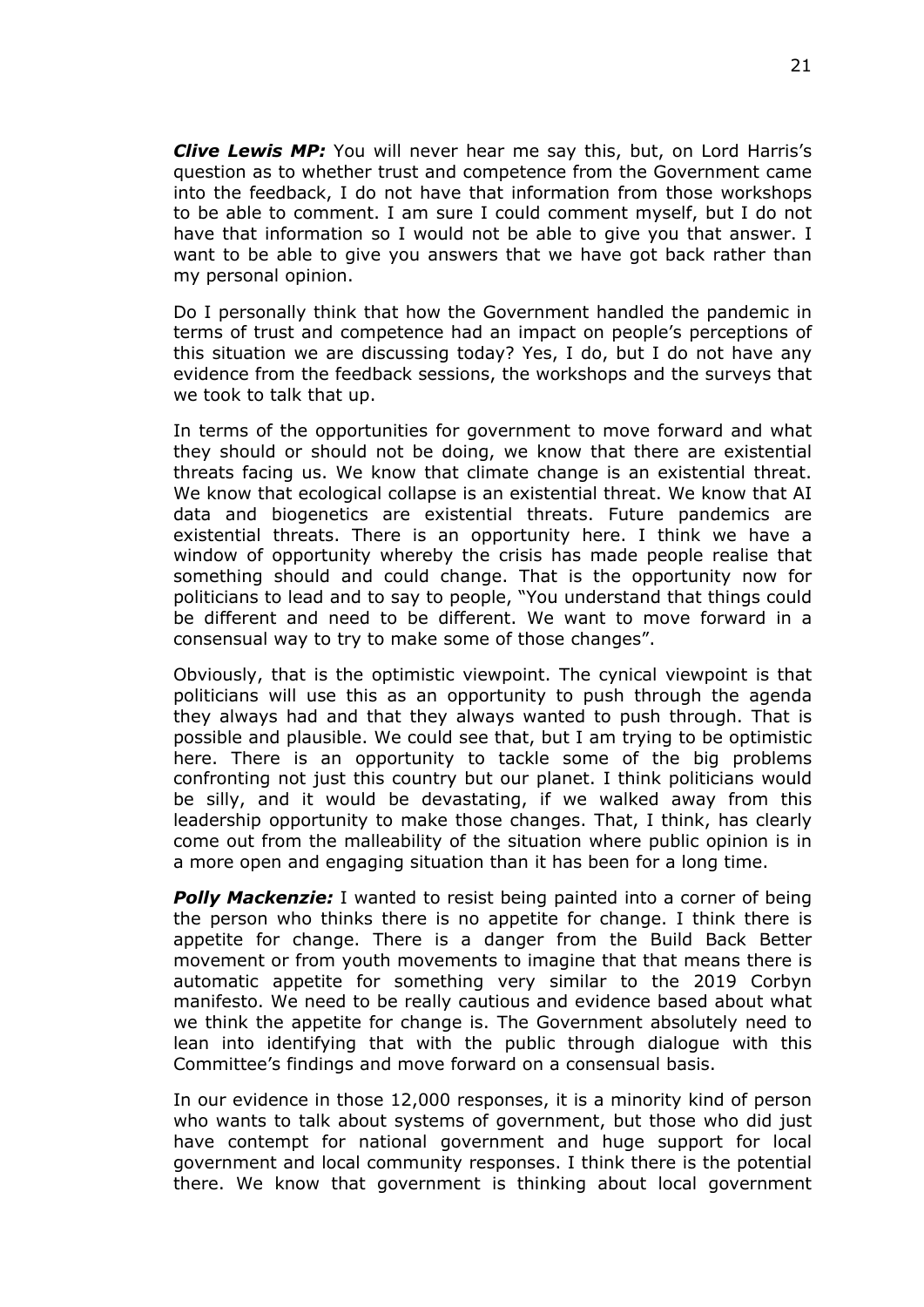*Clive Lewis MP:* You will never hear me say this, but, on Lord Harris's question as to whether trust and competence from the Government came into the feedback, I do not have that information from those workshops to be able to comment. I am sure I could comment myself, but I do not have that information so I would not be able to give you that answer. I want to be able to give you answers that we have got back rather than my personal opinion.

Do I personally think that how the Government handled the pandemic in terms of trust and competence had an impact on people's perceptions of this situation we are discussing today? Yes, I do, but I do not have any evidence from the feedback sessions, the workshops and the surveys that we took to talk that up.

In terms of the opportunities for government to move forward and what they should or should not be doing, we know that there are existential threats facing us. We know that climate change is an existential threat. We know that ecological collapse is an existential threat. We know that AI data and biogenetics are existential threats. Future pandemics are existential threats. There is an opportunity here. I think we have a window of opportunity whereby the crisis has made people realise that something should and could change. That is the opportunity now for politicians to lead and to say to people, "You understand that things could be different and need to be different. We want to move forward in a consensual way to try to make some of those changes".

Obviously, that is the optimistic viewpoint. The cynical viewpoint is that politicians will use this as an opportunity to push through the agenda they always had and that they always wanted to push through. That is possible and plausible. We could see that, but I am trying to be optimistic here. There is an opportunity to tackle some of the big problems confronting not just this country but our planet. I think politicians would be silly, and it would be devastating, if we walked away from this leadership opportunity to make those changes. That, I think, has clearly come out from the malleability of the situation where public opinion is in a more open and engaging situation than it has been for a long time.

*Polly Mackenzie:* I wanted to resist being painted into a corner of being the person who thinks there is no appetite for change. I think there is appetite for change. There is a danger from the Build Back Better movement or from youth movements to imagine that that means there is automatic appetite for something very similar to the 2019 Corbyn manifesto. We need to be really cautious and evidence based about what we think the appetite for change is. The Government absolutely need to lean into identifying that with the public through dialogue with this Committee's findings and move forward on a consensual basis.

In our evidence in those 12,000 responses, it is a minority kind of person who wants to talk about systems of government, but those who did just have contempt for national government and huge support for local government and local community responses. I think there is the potential there. We know that government is thinking about local government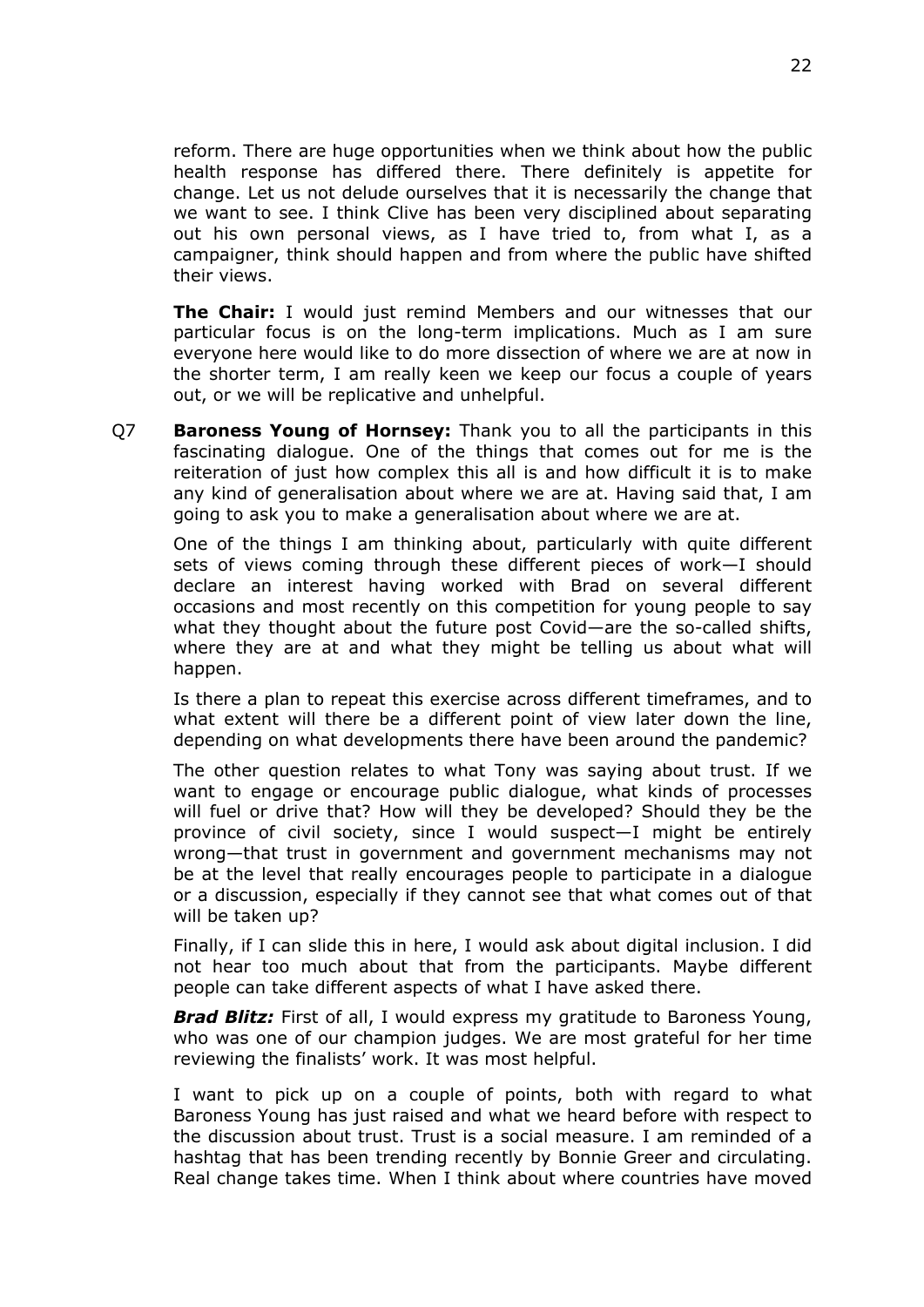reform. There are huge opportunities when we think about how the public health response has differed there. There definitely is appetite for change. Let us not delude ourselves that it is necessarily the change that we want to see. I think Clive has been very disciplined about separating out his own personal views, as I have tried to, from what I, as a campaigner, think should happen and from where the public have shifted their views.

**The Chair:** I would just remind Members and our witnesses that our particular focus is on the long-term implications. Much as I am sure everyone here would like to do more dissection of where we are at now in the shorter term, I am really keen we keep our focus a couple of years out, or we will be replicative and unhelpful.

Q7 **Baroness Young of Hornsey:** Thank you to all the participants in this fascinating dialogue. One of the things that comes out for me is the reiteration of just how complex this all is and how difficult it is to make any kind of generalisation about where we are at. Having said that, I am going to ask you to make a generalisation about where we are at.

One of the things I am thinking about, particularly with quite different sets of views coming through these different pieces of work—I should declare an interest having worked with Brad on several different occasions and most recently on this competition for young people to say what they thought about the future post Covid—are the so-called shifts, where they are at and what they might be telling us about what will happen.

Is there a plan to repeat this exercise across different timeframes, and to what extent will there be a different point of view later down the line, depending on what developments there have been around the pandemic?

The other question relates to what Tony was saying about trust. If we want to engage or encourage public dialogue, what kinds of processes will fuel or drive that? How will they be developed? Should they be the province of civil society, since I would suspect—I might be entirely wrong—that trust in government and government mechanisms may not be at the level that really encourages people to participate in a dialogue or a discussion, especially if they cannot see that what comes out of that will be taken up?

Finally, if I can slide this in here, I would ask about digital inclusion. I did not hear too much about that from the participants. Maybe different people can take different aspects of what I have asked there.

*Brad Blitz:* First of all, I would express my gratitude to Baroness Young, who was one of our champion judges. We are most grateful for her time reviewing the finalists' work. It was most helpful.

I want to pick up on a couple of points, both with regard to what Baroness Young has just raised and what we heard before with respect to the discussion about trust. Trust is a social measure. I am reminded of a hashtag that has been trending recently by Bonnie Greer and circulating. Real change takes time. When I think about where countries have moved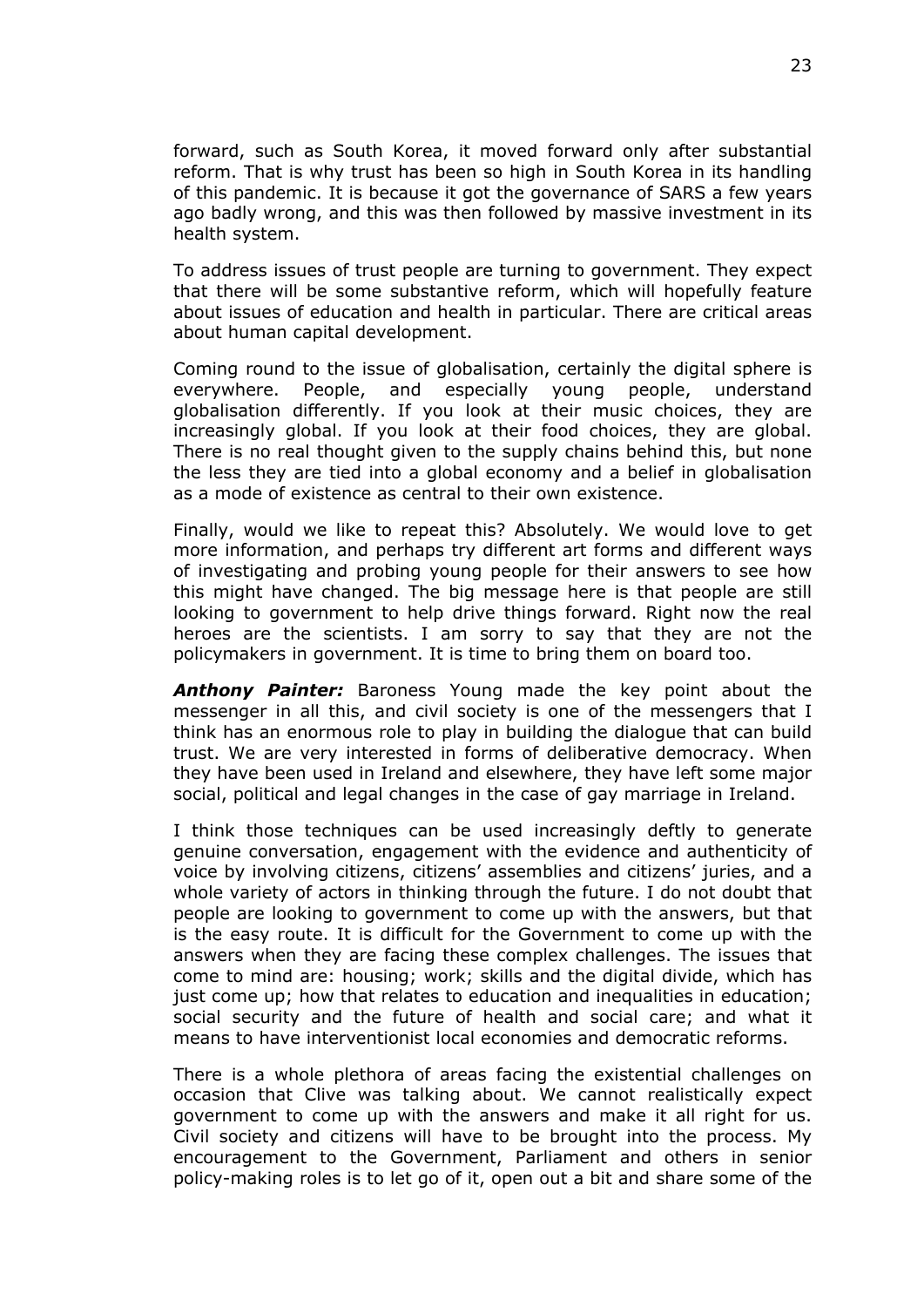forward, such as South Korea, it moved forward only after substantial reform. That is why trust has been so high in South Korea in its handling of this pandemic. It is because it got the governance of SARS a few years ago badly wrong, and this was then followed by massive investment in its health system.

To address issues of trust people are turning to government. They expect that there will be some substantive reform, which will hopefully feature about issues of education and health in particular. There are critical areas about human capital development.

Coming round to the issue of globalisation, certainly the digital sphere is everywhere. People, and especially young people, understand globalisation differently. If you look at their music choices, they are increasingly global. If you look at their food choices, they are global. There is no real thought given to the supply chains behind this, but none the less they are tied into a global economy and a belief in globalisation as a mode of existence as central to their own existence.

Finally, would we like to repeat this? Absolutely. We would love to get more information, and perhaps try different art forms and different ways of investigating and probing young people for their answers to see how this might have changed. The big message here is that people are still looking to government to help drive things forward. Right now the real heroes are the scientists. I am sorry to say that they are not the policymakers in government. It is time to bring them on board too.

*Anthony Painter:* Baroness Young made the key point about the messenger in all this, and civil society is one of the messengers that I think has an enormous role to play in building the dialogue that can build trust. We are very interested in forms of deliberative democracy. When they have been used in Ireland and elsewhere, they have left some major social, political and legal changes in the case of gay marriage in Ireland.

I think those techniques can be used increasingly deftly to generate genuine conversation, engagement with the evidence and authenticity of voice by involving citizens, citizens' assemblies and citizens' juries, and a whole variety of actors in thinking through the future. I do not doubt that people are looking to government to come up with the answers, but that is the easy route. It is difficult for the Government to come up with the answers when they are facing these complex challenges. The issues that come to mind are: housing; work; skills and the digital divide, which has just come up; how that relates to education and inequalities in education; social security and the future of health and social care; and what it means to have interventionist local economies and democratic reforms.

There is a whole plethora of areas facing the existential challenges on occasion that Clive was talking about. We cannot realistically expect government to come up with the answers and make it all right for us. Civil society and citizens will have to be brought into the process. My encouragement to the Government, Parliament and others in senior policy-making roles is to let go of it, open out a bit and share some of the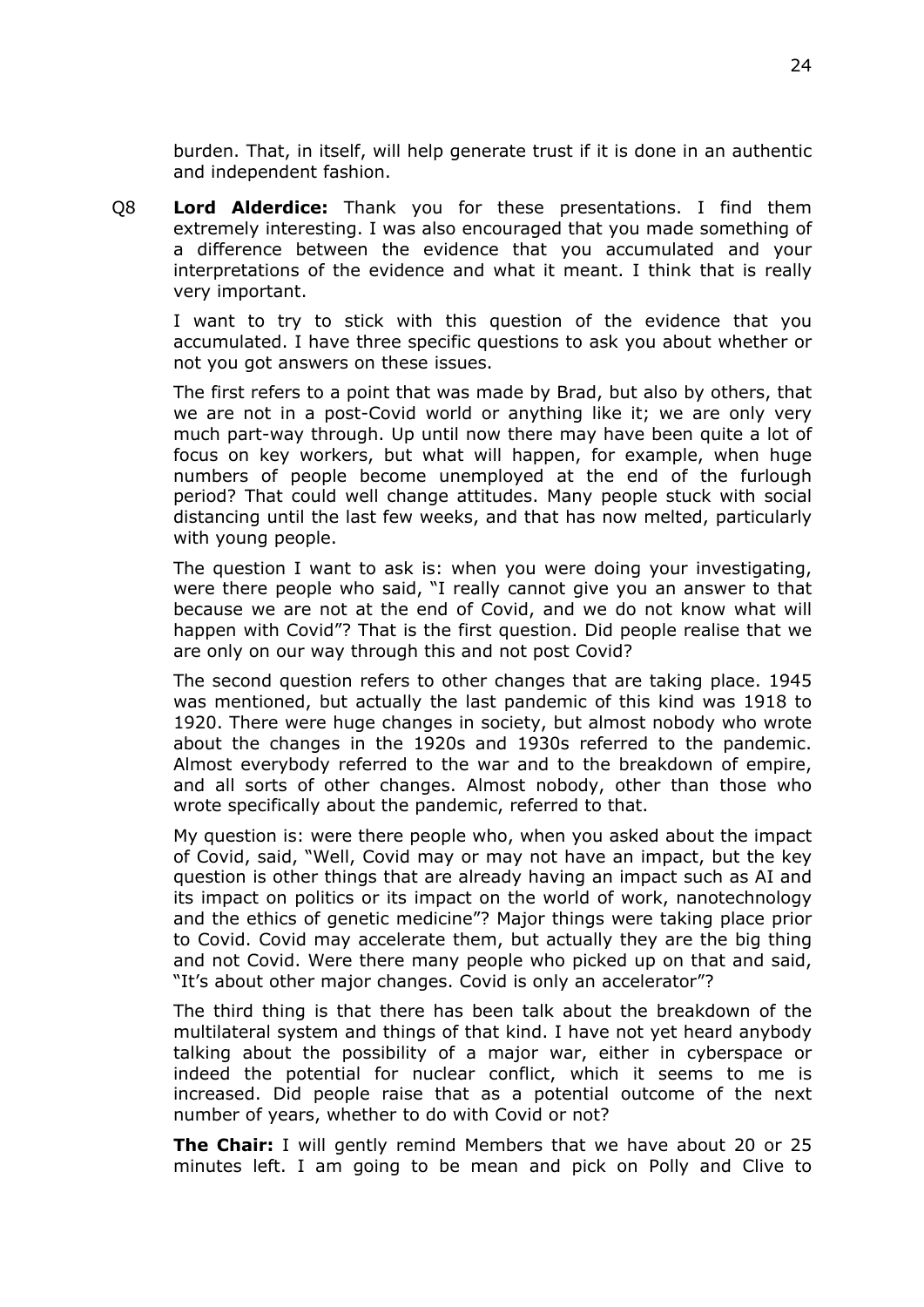burden. That, in itself, will help generate trust if it is done in an authentic and independent fashion.

Q8 **Lord Alderdice:** Thank you for these presentations. I find them extremely interesting. I was also encouraged that you made something of a difference between the evidence that you accumulated and your interpretations of the evidence and what it meant. I think that is really very important.

I want to try to stick with this question of the evidence that you accumulated. I have three specific questions to ask you about whether or not you got answers on these issues.

The first refers to a point that was made by Brad, but also by others, that we are not in a post-Covid world or anything like it; we are only very much part-way through. Up until now there may have been quite a lot of focus on key workers, but what will happen, for example, when huge numbers of people become unemployed at the end of the furlough period? That could well change attitudes. Many people stuck with social distancing until the last few weeks, and that has now melted, particularly with young people.

The question I want to ask is: when you were doing your investigating, were there people who said, "I really cannot give you an answer to that because we are not at the end of Covid, and we do not know what will happen with Covid"? That is the first question. Did people realise that we are only on our way through this and not post Covid?

The second question refers to other changes that are taking place. 1945 was mentioned, but actually the last pandemic of this kind was 1918 to 1920. There were huge changes in society, but almost nobody who wrote about the changes in the 1920s and 1930s referred to the pandemic. Almost everybody referred to the war and to the breakdown of empire, and all sorts of other changes. Almost nobody, other than those who wrote specifically about the pandemic, referred to that.

My question is: were there people who, when you asked about the impact of Covid, said, "Well, Covid may or may not have an impact, but the key question is other things that are already having an impact such as AI and its impact on politics or its impact on the world of work, nanotechnology and the ethics of genetic medicine"? Major things were taking place prior to Covid. Covid may accelerate them, but actually they are the big thing and not Covid. Were there many people who picked up on that and said, "It's about other major changes. Covid is only an accelerator"?

The third thing is that there has been talk about the breakdown of the multilateral system and things of that kind. I have not yet heard anybody talking about the possibility of a major war, either in cyberspace or indeed the potential for nuclear conflict, which it seems to me is increased. Did people raise that as a potential outcome of the next number of years, whether to do with Covid or not?

**The Chair:** I will gently remind Members that we have about 20 or 25 minutes left. I am going to be mean and pick on Polly and Clive to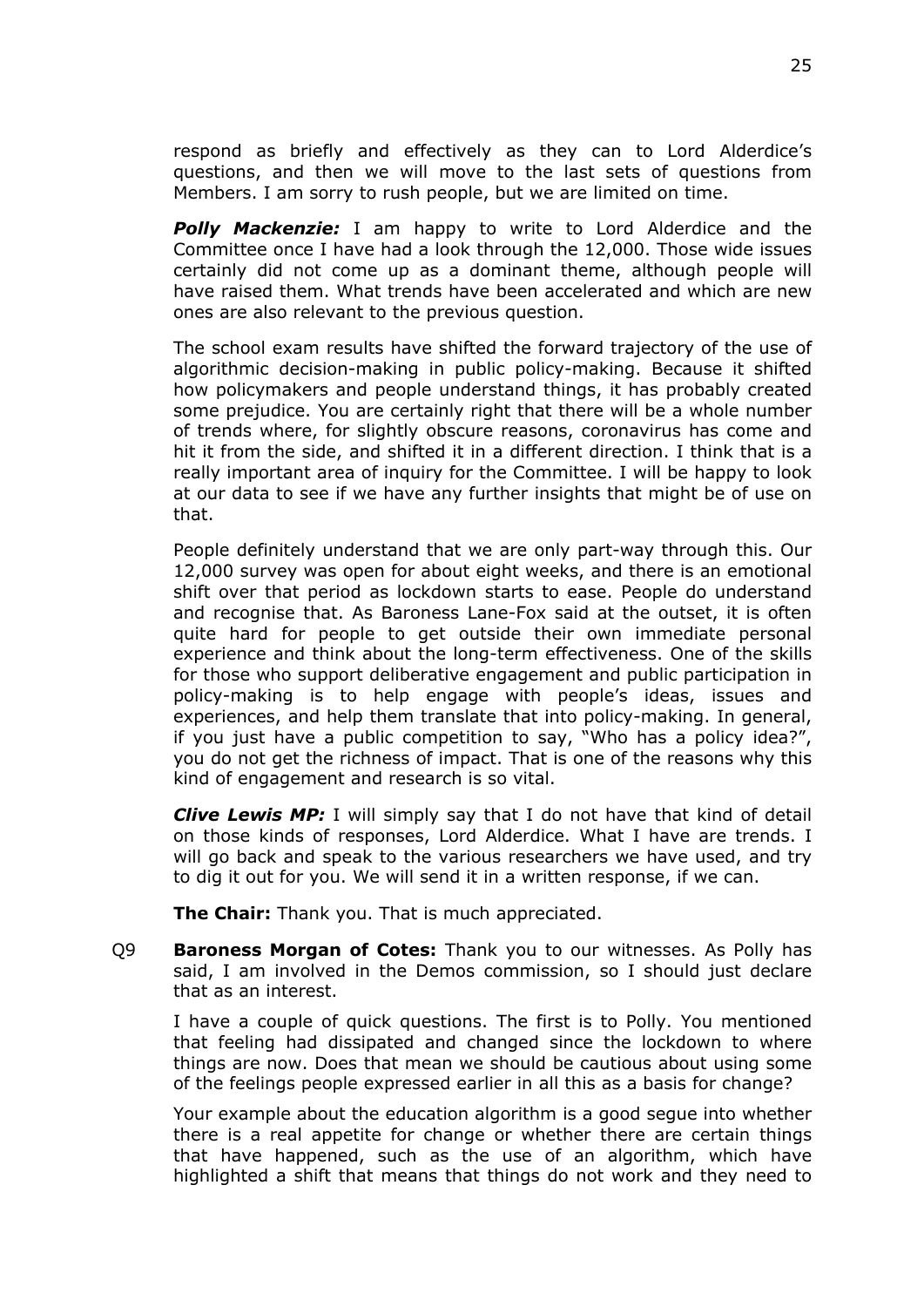respond as briefly and effectively as they can to Lord Alderdice's questions, and then we will move to the last sets of questions from Members. I am sorry to rush people, but we are limited on time.

**Polly Mackenzie:** I am happy to write to Lord Alderdice and the Committee once I have had a look through the 12,000. Those wide issues certainly did not come up as a dominant theme, although people will have raised them. What trends have been accelerated and which are new ones are also relevant to the previous question.

The school exam results have shifted the forward trajectory of the use of algorithmic decision-making in public policy-making. Because it shifted how policymakers and people understand things, it has probably created some prejudice. You are certainly right that there will be a whole number of trends where, for slightly obscure reasons, coronavirus has come and hit it from the side, and shifted it in a different direction. I think that is a really important area of inquiry for the Committee. I will be happy to look at our data to see if we have any further insights that might be of use on that.

People definitely understand that we are only part-way through this. Our 12,000 survey was open for about eight weeks, and there is an emotional shift over that period as lockdown starts to ease. People do understand and recognise that. As Baroness Lane-Fox said at the outset, it is often quite hard for people to get outside their own immediate personal experience and think about the long-term effectiveness. One of the skills for those who support deliberative engagement and public participation in policy-making is to help engage with people's ideas, issues and experiences, and help them translate that into policy-making. In general, if you just have a public competition to say, "Who has a policy idea?", you do not get the richness of impact. That is one of the reasons why this kind of engagement and research is so vital.

*Clive Lewis MP:* I will simply say that I do not have that kind of detail on those kinds of responses, Lord Alderdice. What I have are trends. I will go back and speak to the various researchers we have used, and try to dig it out for you. We will send it in a written response, if we can.

**The Chair:** Thank you. That is much appreciated.

Q9 **Baroness Morgan of Cotes:** Thank you to our witnesses. As Polly has said, I am involved in the Demos commission, so I should just declare that as an interest.

I have a couple of quick questions. The first is to Polly. You mentioned that feeling had dissipated and changed since the lockdown to where things are now. Does that mean we should be cautious about using some of the feelings people expressed earlier in all this as a basis for change?

Your example about the education algorithm is a good segue into whether there is a real appetite for change or whether there are certain things that have happened, such as the use of an algorithm, which have highlighted a shift that means that things do not work and they need to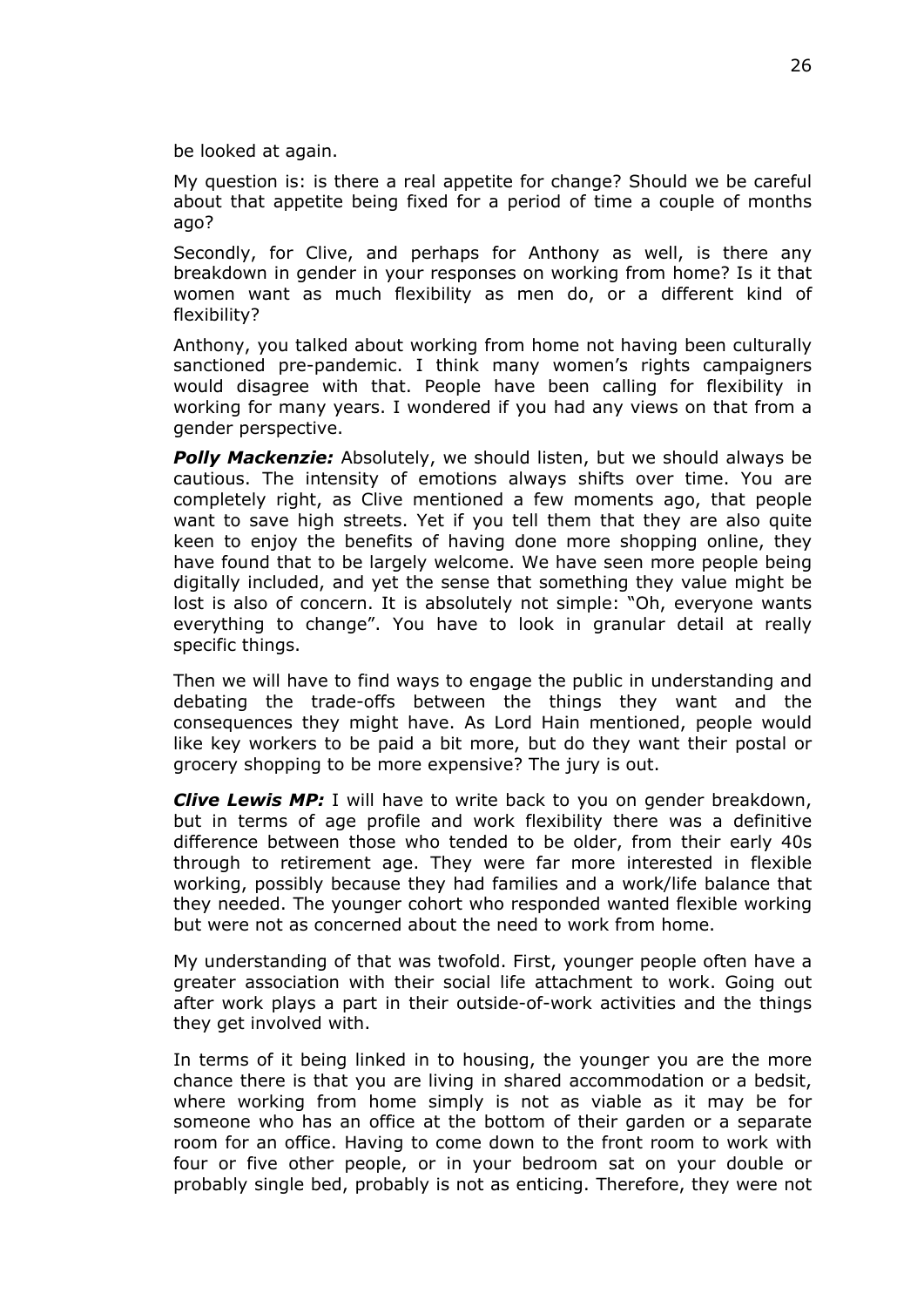be looked at again.

My question is: is there a real appetite for change? Should we be careful about that appetite being fixed for a period of time a couple of months ago?

Secondly, for Clive, and perhaps for Anthony as well, is there any breakdown in gender in your responses on working from home? Is it that women want as much flexibility as men do, or a different kind of flexibility?

Anthony, you talked about working from home not having been culturally sanctioned pre-pandemic. I think many women's rights campaigners would disagree with that. People have been calling for flexibility in working for many years. I wondered if you had any views on that from a gender perspective.

*Polly Mackenzie:* Absolutely, we should listen, but we should always be cautious. The intensity of emotions always shifts over time. You are completely right, as Clive mentioned a few moments ago, that people want to save high streets. Yet if you tell them that they are also quite keen to enjoy the benefits of having done more shopping online, they have found that to be largely welcome. We have seen more people being digitally included, and yet the sense that something they value might be lost is also of concern. It is absolutely not simple: "Oh, everyone wants everything to change". You have to look in granular detail at really specific things.

Then we will have to find ways to engage the public in understanding and debating the trade-offs between the things they want and the consequences they might have. As Lord Hain mentioned, people would like key workers to be paid a bit more, but do they want their postal or grocery shopping to be more expensive? The jury is out.

*Clive Lewis MP:* I will have to write back to you on gender breakdown, but in terms of age profile and work flexibility there was a definitive difference between those who tended to be older, from their early 40s through to retirement age. They were far more interested in flexible working, possibly because they had families and a work/life balance that they needed. The younger cohort who responded wanted flexible working but were not as concerned about the need to work from home.

My understanding of that was twofold. First, younger people often have a greater association with their social life attachment to work. Going out after work plays a part in their outside-of-work activities and the things they get involved with.

In terms of it being linked in to housing, the younger you are the more chance there is that you are living in shared accommodation or a bedsit, where working from home simply is not as viable as it may be for someone who has an office at the bottom of their garden or a separate room for an office. Having to come down to the front room to work with four or five other people, or in your bedroom sat on your double or probably single bed, probably is not as enticing. Therefore, they were not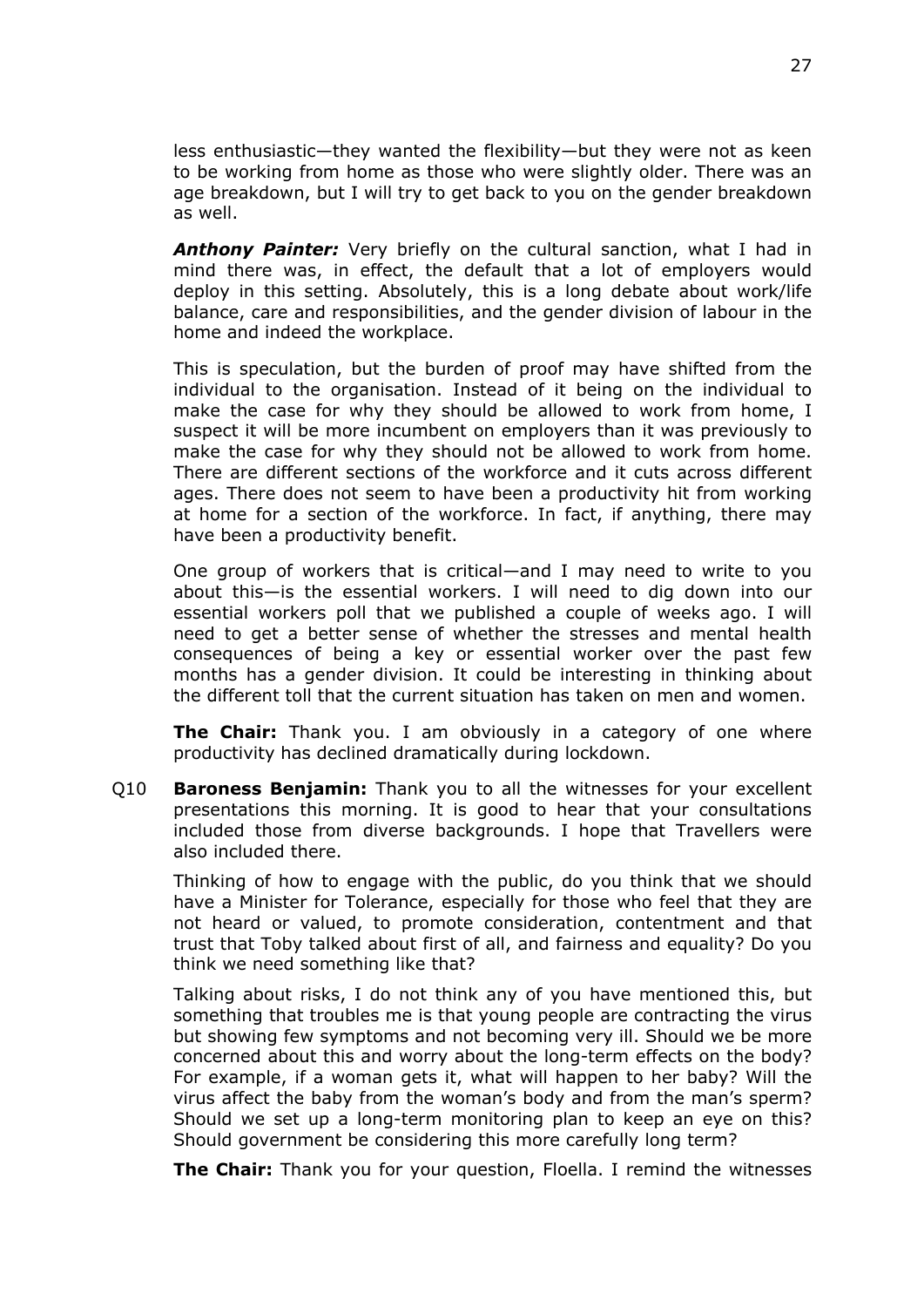less enthusiastic—they wanted the flexibility—but they were not as keen to be working from home as those who were slightly older. There was an age breakdown, but I will try to get back to you on the gender breakdown as well.

*Anthony Painter:* Very briefly on the cultural sanction, what I had in mind there was, in effect, the default that a lot of employers would deploy in this setting. Absolutely, this is a long debate about work/life balance, care and responsibilities, and the gender division of labour in the home and indeed the workplace.

This is speculation, but the burden of proof may have shifted from the individual to the organisation. Instead of it being on the individual to make the case for why they should be allowed to work from home, I suspect it will be more incumbent on employers than it was previously to make the case for why they should not be allowed to work from home. There are different sections of the workforce and it cuts across different ages. There does not seem to have been a productivity hit from working at home for a section of the workforce. In fact, if anything, there may have been a productivity benefit.

One group of workers that is critical—and I may need to write to you about this—is the essential workers. I will need to dig down into our essential workers poll that we published a couple of weeks ago. I will need to get a better sense of whether the stresses and mental health consequences of being a key or essential worker over the past few months has a gender division. It could be interesting in thinking about the different toll that the current situation has taken on men and women.

**The Chair:** Thank you. I am obviously in a category of one where productivity has declined dramatically during lockdown.

Q10 **Baroness Benjamin:** Thank you to all the witnesses for your excellent presentations this morning. It is good to hear that your consultations included those from diverse backgrounds. I hope that Travellers were also included there.

Thinking of how to engage with the public, do you think that we should have a Minister for Tolerance, especially for those who feel that they are not heard or valued, to promote consideration, contentment and that trust that Toby talked about first of all, and fairness and equality? Do you think we need something like that?

Talking about risks, I do not think any of you have mentioned this, but something that troubles me is that young people are contracting the virus but showing few symptoms and not becoming very ill. Should we be more concerned about this and worry about the long-term effects on the body? For example, if a woman gets it, what will happen to her baby? Will the virus affect the baby from the woman's body and from the man's sperm? Should we set up a long-term monitoring plan to keep an eye on this? Should government be considering this more carefully long term?

**The Chair:** Thank you for your question, Floella. I remind the witnesses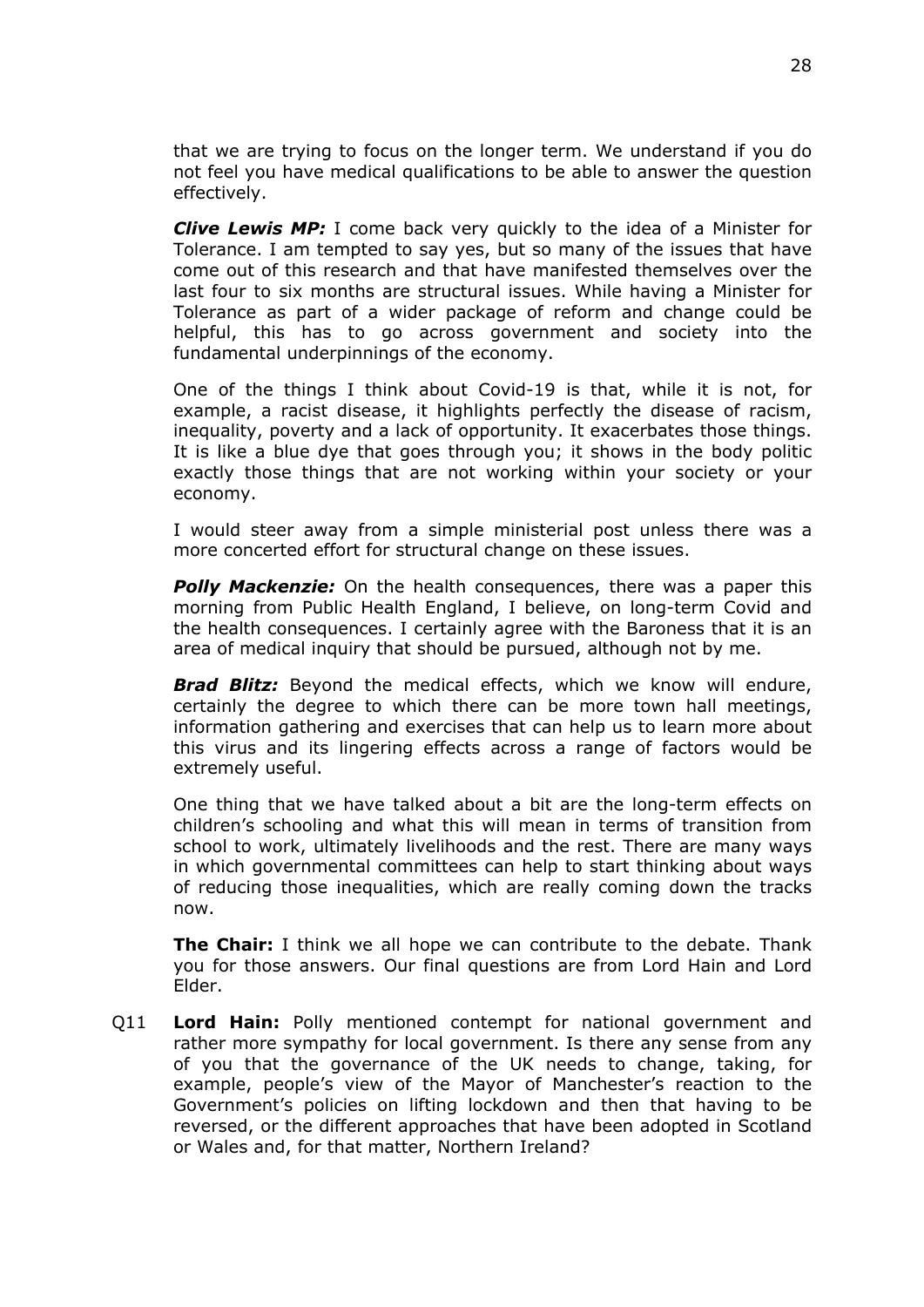that we are trying to focus on the longer term. We understand if you do not feel you have medical qualifications to be able to answer the question effectively.

*Clive Lewis MP:* I come back very quickly to the idea of a Minister for Tolerance. I am tempted to say yes, but so many of the issues that have come out of this research and that have manifested themselves over the last four to six months are structural issues. While having a Minister for Tolerance as part of a wider package of reform and change could be helpful, this has to go across government and society into the fundamental underpinnings of the economy.

One of the things I think about Covid-19 is that, while it is not, for example, a racist disease, it highlights perfectly the disease of racism, inequality, poverty and a lack of opportunity. It exacerbates those things. It is like a blue dye that goes through you; it shows in the body politic exactly those things that are not working within your society or your economy.

I would steer away from a simple ministerial post unless there was a more concerted effort for structural change on these issues.

*Polly Mackenzie:* On the health consequences, there was a paper this morning from Public Health England, I believe, on long-term Covid and the health consequences. I certainly agree with the Baroness that it is an area of medical inquiry that should be pursued, although not by me.

*Brad Blitz:* Beyond the medical effects, which we know will endure, certainly the degree to which there can be more town hall meetings, information gathering and exercises that can help us to learn more about this virus and its lingering effects across a range of factors would be extremely useful.

One thing that we have talked about a bit are the long-term effects on children's schooling and what this will mean in terms of transition from school to work, ultimately livelihoods and the rest. There are many ways in which governmental committees can help to start thinking about ways of reducing those inequalities, which are really coming down the tracks now.

**The Chair:** I think we all hope we can contribute to the debate. Thank you for those answers. Our final questions are from Lord Hain and Lord Elder.

Q11 **Lord Hain:** Polly mentioned contempt for national government and rather more sympathy for local government. Is there any sense from any of you that the governance of the UK needs to change, taking, for example, people's view of the Mayor of Manchester's reaction to the Government's policies on lifting lockdown and then that having to be reversed, or the different approaches that have been adopted in Scotland or Wales and, for that matter, Northern Ireland?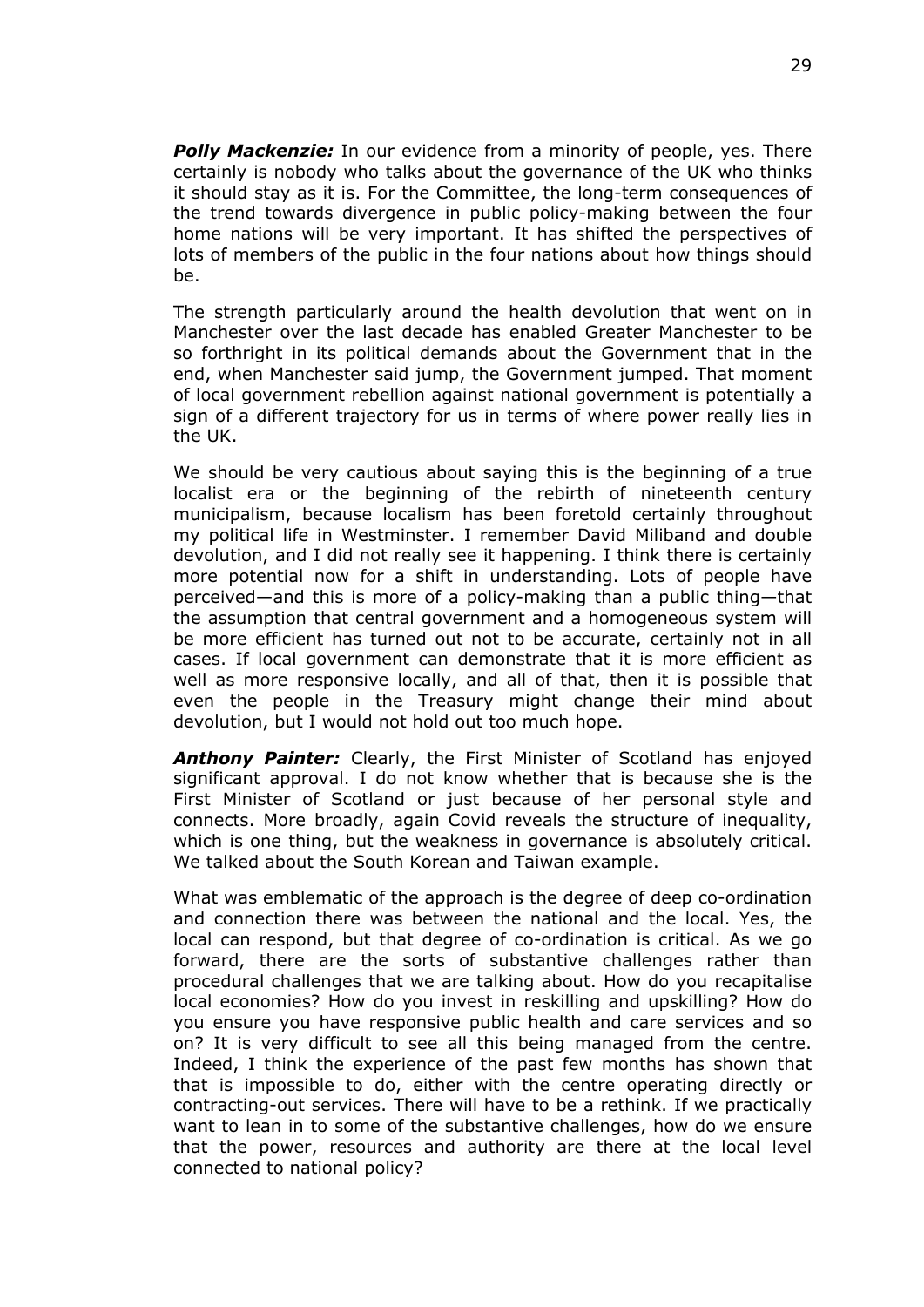*Polly Mackenzie:* In our evidence from a minority of people, yes. There certainly is nobody who talks about the governance of the UK who thinks it should stay as it is. For the Committee, the long-term consequences of the trend towards divergence in public policy-making between the four home nations will be very important. It has shifted the perspectives of lots of members of the public in the four nations about how things should be.

The strength particularly around the health devolution that went on in Manchester over the last decade has enabled Greater Manchester to be so forthright in its political demands about the Government that in the end, when Manchester said jump, the Government jumped. That moment of local government rebellion against national government is potentially a sign of a different trajectory for us in terms of where power really lies in the UK.

We should be very cautious about saying this is the beginning of a true localist era or the beginning of the rebirth of nineteenth century municipalism, because localism has been foretold certainly throughout my political life in Westminster. I remember David Miliband and double devolution, and I did not really see it happening. I think there is certainly more potential now for a shift in understanding. Lots of people have perceived—and this is more of a policy-making than a public thing—that the assumption that central government and a homogeneous system will be more efficient has turned out not to be accurate, certainly not in all cases. If local government can demonstrate that it is more efficient as well as more responsive locally, and all of that, then it is possible that even the people in the Treasury might change their mind about devolution, but I would not hold out too much hope.

*Anthony Painter:* Clearly, the First Minister of Scotland has enjoyed significant approval. I do not know whether that is because she is the First Minister of Scotland or just because of her personal style and connects. More broadly, again Covid reveals the structure of inequality, which is one thing, but the weakness in governance is absolutely critical. We talked about the South Korean and Taiwan example.

What was emblematic of the approach is the degree of deep co-ordination and connection there was between the national and the local. Yes, the local can respond, but that degree of co-ordination is critical. As we go forward, there are the sorts of substantive challenges rather than procedural challenges that we are talking about. How do you recapitalise local economies? How do you invest in reskilling and upskilling? How do you ensure you have responsive public health and care services and so on? It is very difficult to see all this being managed from the centre. Indeed, I think the experience of the past few months has shown that that is impossible to do, either with the centre operating directly or contracting-out services. There will have to be a rethink. If we practically want to lean in to some of the substantive challenges, how do we ensure that the power, resources and authority are there at the local level connected to national policy?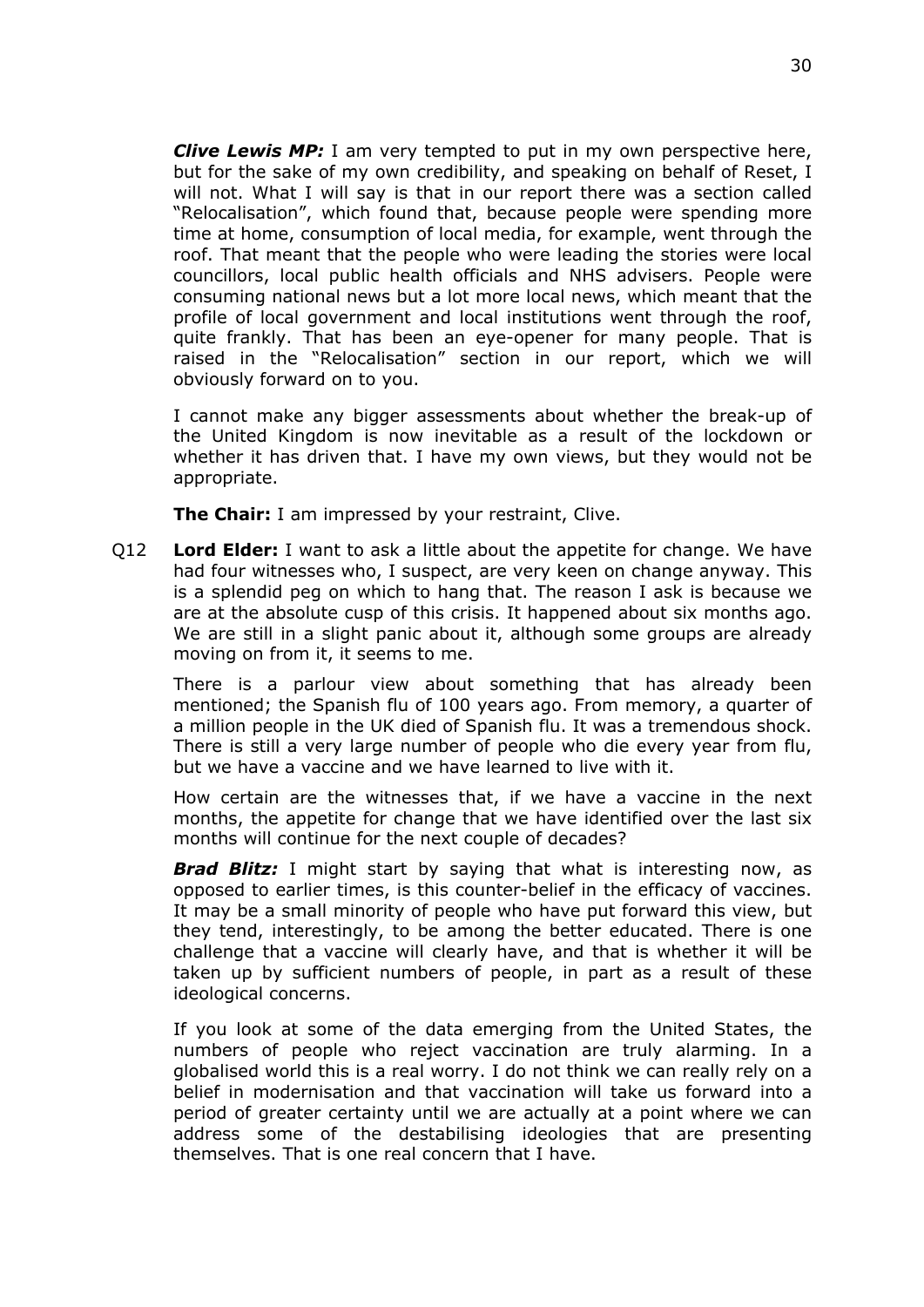*Clive Lewis MP:* I am very tempted to put in my own perspective here, but for the sake of my own credibility, and speaking on behalf of Reset, I will not. What I will say is that in our report there was a section called "Relocalisation", which found that, because people were spending more time at home, consumption of local media, for example, went through the roof. That meant that the people who were leading the stories were local councillors, local public health officials and NHS advisers. People were consuming national news but a lot more local news, which meant that the profile of local government and local institutions went through the roof, quite frankly. That has been an eye-opener for many people. That is raised in the "Relocalisation" section in our report, which we will obviously forward on to you.

I cannot make any bigger assessments about whether the break-up of the United Kingdom is now inevitable as a result of the lockdown or whether it has driven that. I have my own views, but they would not be appropriate.

**The Chair:** I am impressed by your restraint, Clive.

Q12 **Lord Elder:** I want to ask a little about the appetite for change. We have had four witnesses who, I suspect, are very keen on change anyway. This is a splendid peg on which to hang that. The reason I ask is because we are at the absolute cusp of this crisis. It happened about six months ago. We are still in a slight panic about it, although some groups are already moving on from it, it seems to me.

There is a parlour view about something that has already been mentioned; the Spanish flu of 100 years ago. From memory, a quarter of a million people in the UK died of Spanish flu. It was a tremendous shock. There is still a very large number of people who die every year from flu, but we have a vaccine and we have learned to live with it.

How certain are the witnesses that, if we have a vaccine in the next months, the appetite for change that we have identified over the last six months will continue for the next couple of decades?

*Brad Blitz:* I might start by saying that what is interesting now, as opposed to earlier times, is this counter-belief in the efficacy of vaccines. It may be a small minority of people who have put forward this view, but they tend, interestingly, to be among the better educated. There is one challenge that a vaccine will clearly have, and that is whether it will be taken up by sufficient numbers of people, in part as a result of these ideological concerns.

If you look at some of the data emerging from the United States, the numbers of people who reject vaccination are truly alarming. In a globalised world this is a real worry. I do not think we can really rely on a belief in modernisation and that vaccination will take us forward into a period of greater certainty until we are actually at a point where we can address some of the destabilising ideologies that are presenting themselves. That is one real concern that I have.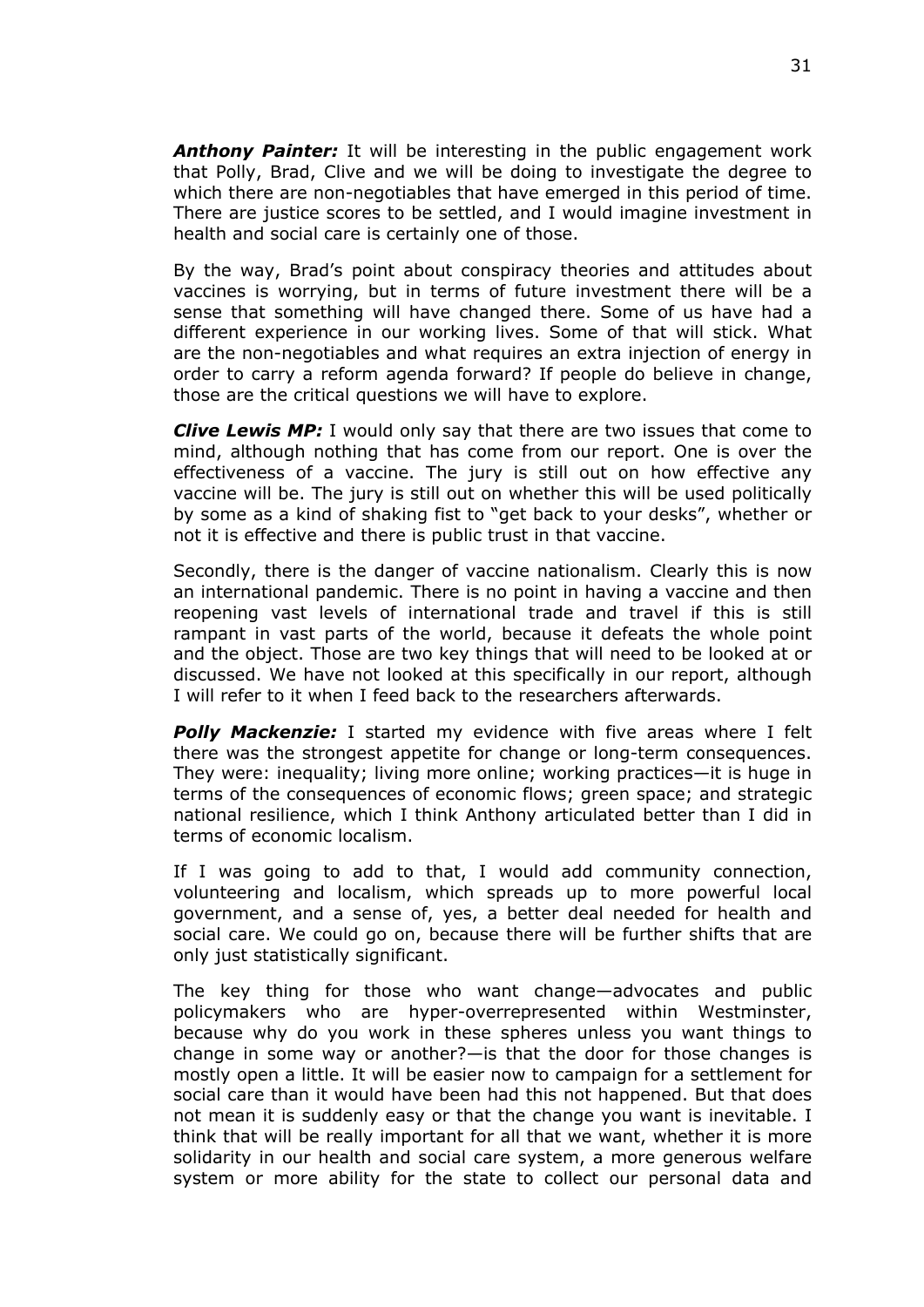*Anthony Painter:* It will be interesting in the public engagement work that Polly, Brad, Clive and we will be doing to investigate the degree to which there are non-negotiables that have emerged in this period of time. There are justice scores to be settled, and I would imagine investment in health and social care is certainly one of those.

By the way, Brad's point about conspiracy theories and attitudes about vaccines is worrying, but in terms of future investment there will be a sense that something will have changed there. Some of us have had a different experience in our working lives. Some of that will stick. What are the non-negotiables and what requires an extra injection of energy in order to carry a reform agenda forward? If people do believe in change, those are the critical questions we will have to explore.

*Clive Lewis MP:* I would only say that there are two issues that come to mind, although nothing that has come from our report. One is over the effectiveness of a vaccine. The jury is still out on how effective any vaccine will be. The jury is still out on whether this will be used politically by some as a kind of shaking fist to "get back to your desks", whether or not it is effective and there is public trust in that vaccine.

Secondly, there is the danger of vaccine nationalism. Clearly this is now an international pandemic. There is no point in having a vaccine and then reopening vast levels of international trade and travel if this is still rampant in vast parts of the world, because it defeats the whole point and the object. Those are two key things that will need to be looked at or discussed. We have not looked at this specifically in our report, although I will refer to it when I feed back to the researchers afterwards.

*Polly Mackenzie:* I started my evidence with five areas where I felt there was the strongest appetite for change or long-term consequences. They were: inequality; living more online; working practices—it is huge in terms of the consequences of economic flows; green space; and strategic national resilience, which I think Anthony articulated better than I did in terms of economic localism.

If I was going to add to that, I would add community connection, volunteering and localism, which spreads up to more powerful local government, and a sense of, yes, a better deal needed for health and social care. We could go on, because there will be further shifts that are only just statistically significant.

The key thing for those who want change—advocates and public policymakers who are hyper-overrepresented within Westminster, because why do you work in these spheres unless you want things to change in some way or another?—is that the door for those changes is mostly open a little. It will be easier now to campaign for a settlement for social care than it would have been had this not happened. But that does not mean it is suddenly easy or that the change you want is inevitable. I think that will be really important for all that we want, whether it is more solidarity in our health and social care system, a more generous welfare system or more ability for the state to collect our personal data and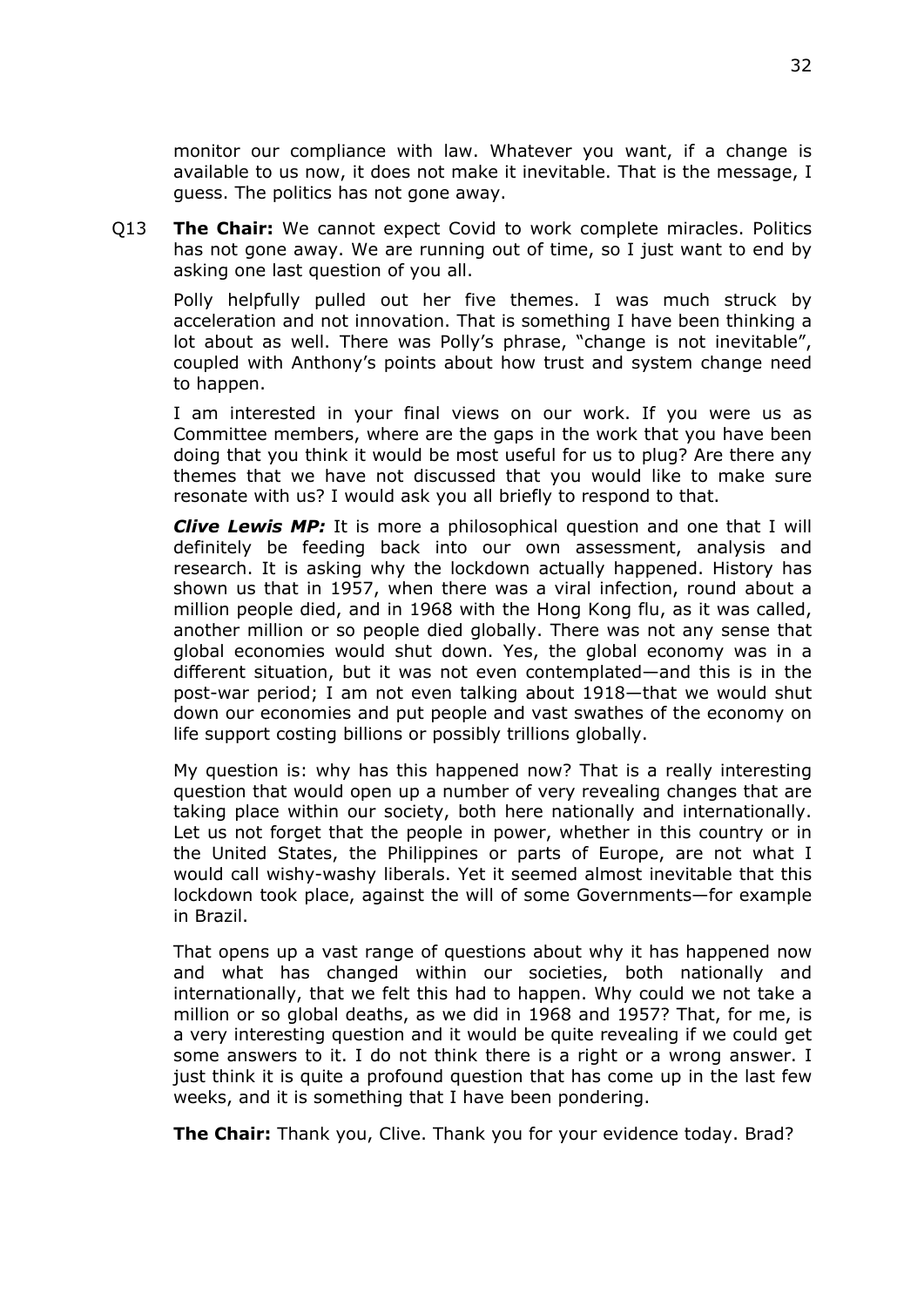monitor our compliance with law. Whatever you want, if a change is available to us now, it does not make it inevitable. That is the message, I guess. The politics has not gone away.

Q13 **The Chair:** We cannot expect Covid to work complete miracles. Politics has not gone away. We are running out of time, so I just want to end by asking one last question of you all.

Polly helpfully pulled out her five themes. I was much struck by acceleration and not innovation. That is something I have been thinking a lot about as well. There was Polly's phrase, "change is not inevitable", coupled with Anthony's points about how trust and system change need to happen.

I am interested in your final views on our work. If you were us as Committee members, where are the gaps in the work that you have been doing that you think it would be most useful for us to plug? Are there any themes that we have not discussed that you would like to make sure resonate with us? I would ask you all briefly to respond to that.

*Clive Lewis MP:* It is more a philosophical question and one that I will definitely be feeding back into our own assessment, analysis and research. It is asking why the lockdown actually happened. History has shown us that in 1957, when there was a viral infection, round about a million people died, and in 1968 with the Hong Kong flu, as it was called, another million or so people died globally. There was not any sense that global economies would shut down. Yes, the global economy was in a different situation, but it was not even contemplated—and this is in the post-war period; I am not even talking about 1918—that we would shut down our economies and put people and vast swathes of the economy on life support costing billions or possibly trillions globally.

My question is: why has this happened now? That is a really interesting question that would open up a number of very revealing changes that are taking place within our society, both here nationally and internationally. Let us not forget that the people in power, whether in this country or in the United States, the Philippines or parts of Europe, are not what I would call wishy-washy liberals. Yet it seemed almost inevitable that this lockdown took place, against the will of some Governments—for example in Brazil.

That opens up a vast range of questions about why it has happened now and what has changed within our societies, both nationally and internationally, that we felt this had to happen. Why could we not take a million or so global deaths, as we did in 1968 and 1957? That, for me, is a very interesting question and it would be quite revealing if we could get some answers to it. I do not think there is a right or a wrong answer. I just think it is quite a profound question that has come up in the last few weeks, and it is something that I have been pondering.

**The Chair:** Thank you, Clive. Thank you for your evidence today. Brad?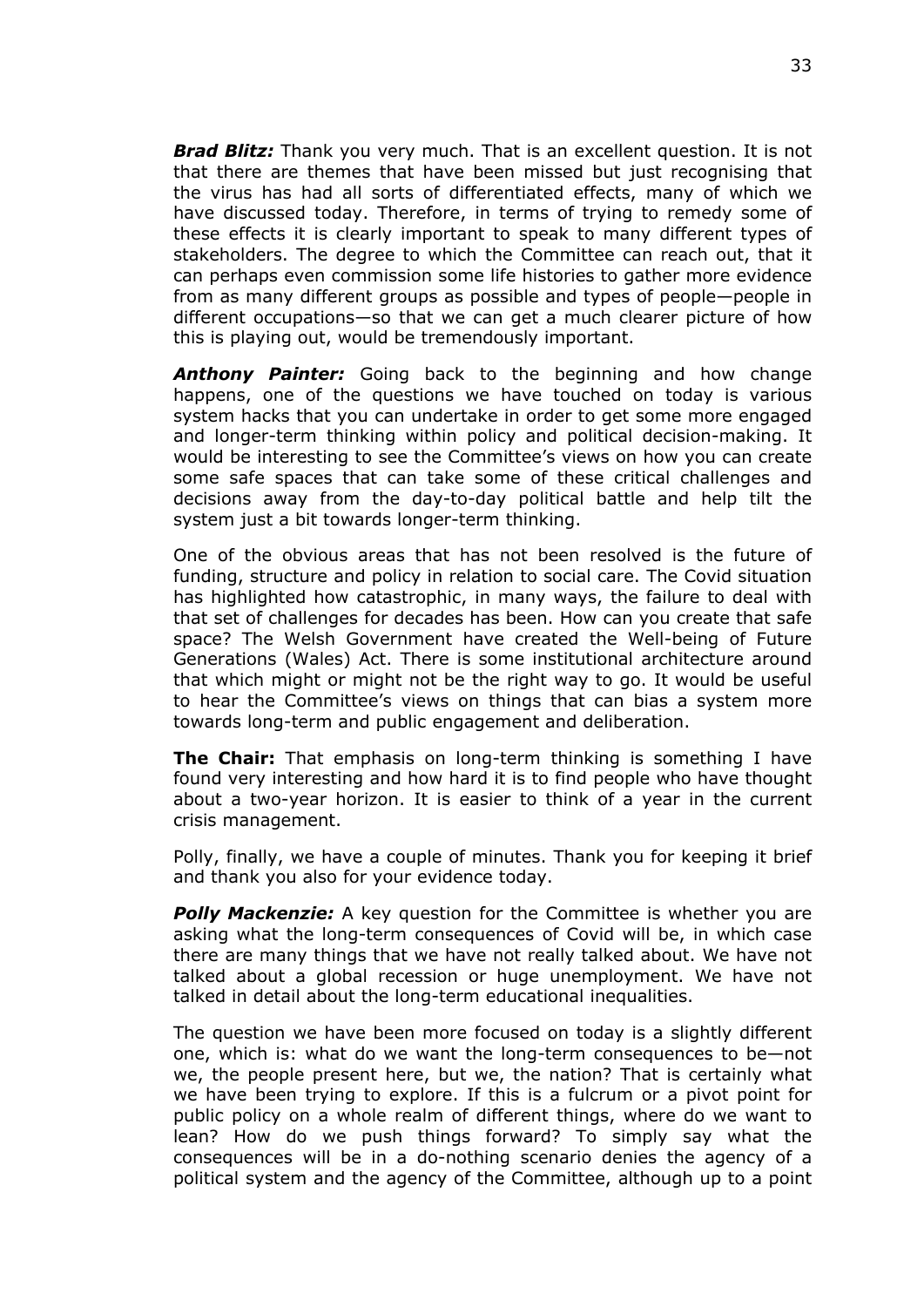*Brad Blitz:* Thank you very much. That is an excellent question. It is not that there are themes that have been missed but just recognising that the virus has had all sorts of differentiated effects, many of which we have discussed today. Therefore, in terms of trying to remedy some of these effects it is clearly important to speak to many different types of stakeholders. The degree to which the Committee can reach out, that it can perhaps even commission some life histories to gather more evidence from as many different groups as possible and types of people—people in different occupations—so that we can get a much clearer picture of how this is playing out, would be tremendously important.

*Anthony Painter:* Going back to the beginning and how change happens, one of the questions we have touched on today is various system hacks that you can undertake in order to get some more engaged and longer-term thinking within policy and political decision-making. It would be interesting to see the Committee's views on how you can create some safe spaces that can take some of these critical challenges and decisions away from the day-to-day political battle and help tilt the system just a bit towards longer-term thinking.

One of the obvious areas that has not been resolved is the future of funding, structure and policy in relation to social care. The Covid situation has highlighted how catastrophic, in many ways, the failure to deal with that set of challenges for decades has been. How can you create that safe space? The Welsh Government have created the Well-being of Future Generations (Wales) Act. There is some institutional architecture around that which might or might not be the right way to go. It would be useful to hear the Committee's views on things that can bias a system more towards long-term and public engagement and deliberation.

**The Chair:** That emphasis on long-term thinking is something I have found very interesting and how hard it is to find people who have thought about a two-year horizon. It is easier to think of a year in the current crisis management.

Polly, finally, we have a couple of minutes. Thank you for keeping it brief and thank you also for your evidence today.

*Polly Mackenzie:* A key question for the Committee is whether you are asking what the long-term consequences of Covid will be, in which case there are many things that we have not really talked about. We have not talked about a global recession or huge unemployment. We have not talked in detail about the long-term educational inequalities.

The question we have been more focused on today is a slightly different one, which is: what do we want the long-term consequences to be—not we, the people present here, but we, the nation? That is certainly what we have been trying to explore. If this is a fulcrum or a pivot point for public policy on a whole realm of different things, where do we want to lean? How do we push things forward? To simply say what the consequences will be in a do-nothing scenario denies the agency of a political system and the agency of the Committee, although up to a point